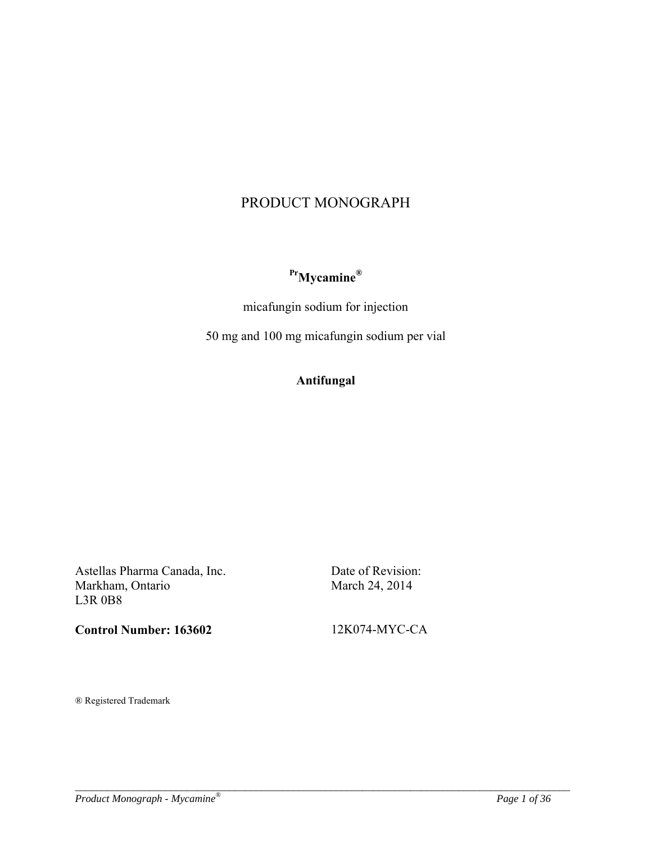# PRODUCT MONOGRAPH

# **PrMycamine®**

micafungin sodium for injection

50 mg and 100 mg micafungin sodium per vial

# **Antifungal**

*\_\_\_\_\_\_\_\_\_\_\_\_\_\_\_\_\_\_\_\_\_\_\_\_\_\_\_\_\_\_\_\_\_\_\_\_\_\_\_\_\_\_\_\_\_\_\_\_\_\_\_\_\_\_\_\_\_\_\_\_\_\_\_\_\_\_\_\_\_\_\_\_\_\_\_\_\_\_\_\_\_\_\_\_\_\_\_\_\_\_\_\_\_* 

Astellas Pharma Canada, Inc. Markham, Ontario L3R 0B8

**Control Number: 163602** 

Date of Revision: March 24, 2014

12K074-MYC-CA

® Registered Trademark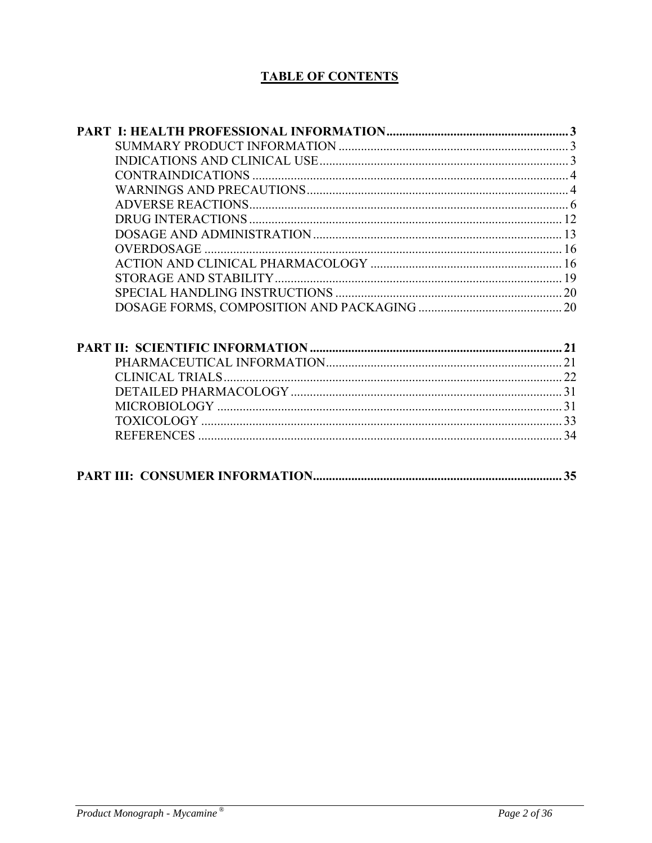# **TABLE OF CONTENTS**

|                                    | 22          |
|------------------------------------|-------------|
| $\mathbf{D} \mathbf{L} \mathbf{T}$ | $\bigcap$ 1 |

|--|--|--|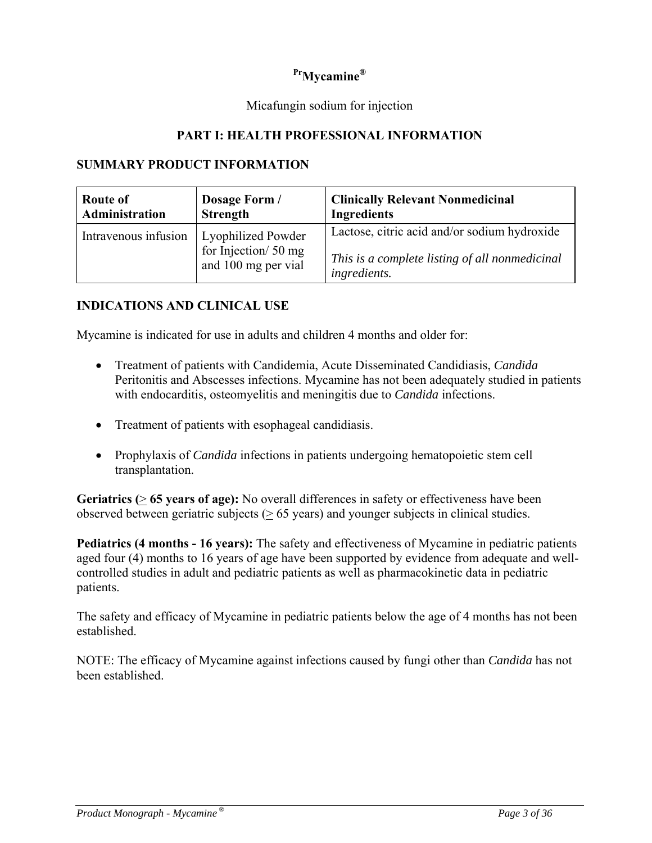# **PrMycamine®**

### Micafungin sodium for injection

### **PART I: HEALTH PROFESSIONAL INFORMATION**

#### **SUMMARY PRODUCT INFORMATION**

| <b>Route of</b>      | Dosage Form /                                                    | <b>Clinically Relevant Nonmedicinal</b>                                                                        |
|----------------------|------------------------------------------------------------------|----------------------------------------------------------------------------------------------------------------|
| Administration       | <b>Strength</b>                                                  | <b>Ingredients</b>                                                                                             |
| Intravenous infusion | Lyophilized Powder<br>for Injection/50 mg<br>and 100 mg per vial | Lactose, citric acid and/or sodium hydroxide<br>This is a complete listing of all nonmedicinal<br>ingredients. |

#### **INDICATIONS AND CLINICAL USE**

Mycamine is indicated for use in adults and children 4 months and older for:

- Treatment of patients with Candidemia, Acute Disseminated Candidiasis, *Candida* Peritonitis and Abscesses infections. Mycamine has not been adequately studied in patients with endocarditis, osteomyelitis and meningitis due to *Candida* infections.
- Treatment of patients with esophageal candidiasis.
- Prophylaxis of *Candida* infections in patients undergoing hematopoietic stem cell transplantation.

**Geriatrics (**> **65 years of age):** No overall differences in safety or effectiveness have been observed between geriatric subjects ( $\geq 65$  years) and younger subjects in clinical studies.

**Pediatrics (4 months - 16 years):** The safety and effectiveness of Mycamine in pediatric patients aged four (4) months to 16 years of age have been supported by evidence from adequate and wellcontrolled studies in adult and pediatric patients as well as pharmacokinetic data in pediatric patients.

The safety and efficacy of Mycamine in pediatric patients below the age of 4 months has not been established.

NOTE: The efficacy of Mycamine against infections caused by fungi other than *Candida* has not been established.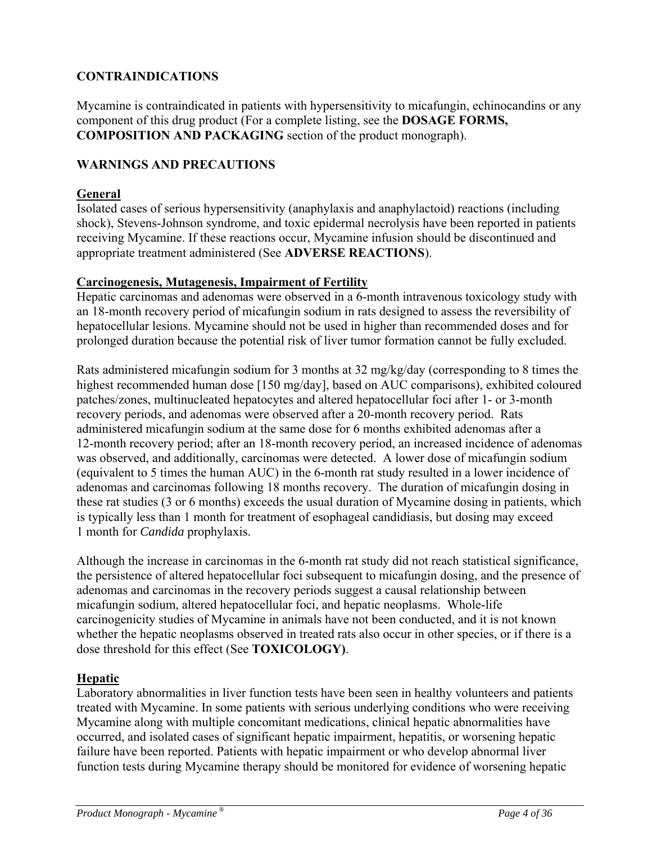# **CONTRAINDICATIONS**

Mycamine is contraindicated in patients with hypersensitivity to micafungin, echinocandins or any component of this drug product (For a complete listing, see the **DOSAGE FORMS, COMPOSITION AND PACKAGING** section of the product monograph).

### **WARNINGS AND PRECAUTIONS**

### **General**

Isolated cases of serious hypersensitivity (anaphylaxis and anaphylactoid) reactions (including shock), Stevens-Johnson syndrome, and toxic epidermal necrolysis have been reported in patients receiving Mycamine. If these reactions occur, Mycamine infusion should be discontinued and appropriate treatment administered (See **ADVERSE REACTIONS**).

#### **Carcinogenesis, Mutagenesis, Impairment of Fertility**

Hepatic carcinomas and adenomas were observed in a 6-month intravenous toxicology study with an 18-month recovery period of micafungin sodium in rats designed to assess the reversibility of hepatocellular lesions. Mycamine should not be used in higher than recommended doses and for prolonged duration because the potential risk of liver tumor formation cannot be fully excluded.

Rats administered micafungin sodium for 3 months at 32 mg/kg/day (corresponding to 8 times the highest recommended human dose [150 mg/day], based on AUC comparisons), exhibited coloured patches/zones, multinucleated hepatocytes and altered hepatocellular foci after 1- or 3-month recovery periods, and adenomas were observed after a 20-month recovery period. Rats administered micafungin sodium at the same dose for 6 months exhibited adenomas after a 12-month recovery period; after an 18-month recovery period, an increased incidence of adenomas was observed, and additionally, carcinomas were detected. A lower dose of micafungin sodium (equivalent to 5 times the human AUC) in the 6-month rat study resulted in a lower incidence of adenomas and carcinomas following 18 months recovery. The duration of micafungin dosing in these rat studies (3 or 6 months) exceeds the usual duration of Mycamine dosing in patients, which is typically less than 1 month for treatment of esophageal candidiasis, but dosing may exceed 1 month for *Candida* prophylaxis.

Although the increase in carcinomas in the 6-month rat study did not reach statistical significance, the persistence of altered hepatocellular foci subsequent to micafungin dosing, and the presence of adenomas and carcinomas in the recovery periods suggest a causal relationship between micafungin sodium, altered hepatocellular foci, and hepatic neoplasms. Whole-life carcinogenicity studies of Mycamine in animals have not been conducted, and it is not known whether the hepatic neoplasms observed in treated rats also occur in other species, or if there is a dose threshold for this effect (See **TOXICOLOGY)**.

#### **Hepatic**

Laboratory abnormalities in liver function tests have been seen in healthy volunteers and patients treated with Mycamine. In some patients with serious underlying conditions who were receiving Mycamine along with multiple concomitant medications, clinical hepatic abnormalities have occurred, and isolated cases of significant hepatic impairment, hepatitis, or worsening hepatic failure have been reported. Patients with hepatic impairment or who develop abnormal liver function tests during Mycamine therapy should be monitored for evidence of worsening hepatic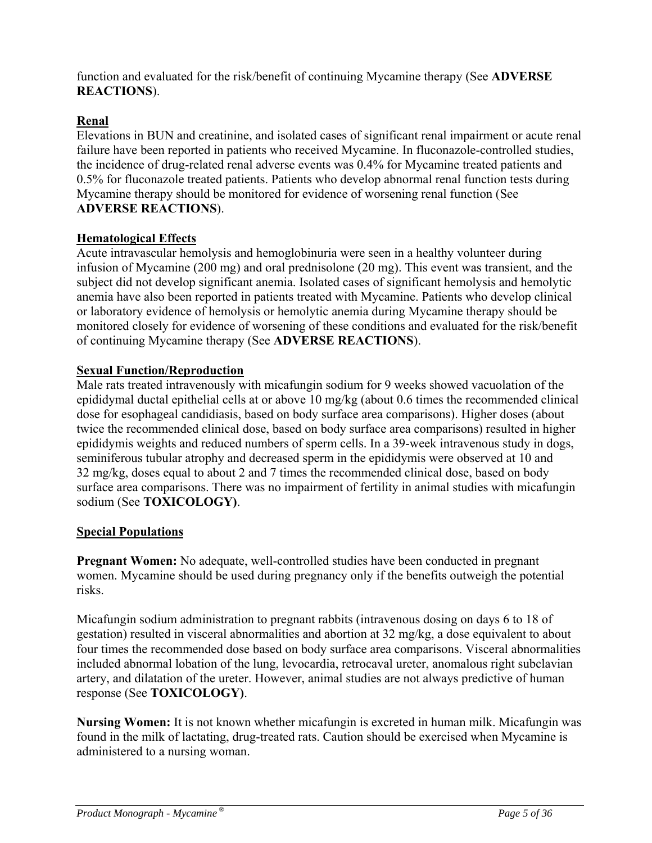function and evaluated for the risk/benefit of continuing Mycamine therapy (See **ADVERSE REACTIONS**).

# **Renal**

Elevations in BUN and creatinine, and isolated cases of significant renal impairment or acute renal failure have been reported in patients who received Mycamine. In fluconazole-controlled studies, the incidence of drug-related renal adverse events was 0.4% for Mycamine treated patients and 0.5% for fluconazole treated patients. Patients who develop abnormal renal function tests during Mycamine therapy should be monitored for evidence of worsening renal function (See **ADVERSE REACTIONS**).

### **Hematological Effects**

Acute intravascular hemolysis and hemoglobinuria were seen in a healthy volunteer during infusion of Mycamine (200 mg) and oral prednisolone (20 mg). This event was transient, and the subject did not develop significant anemia. Isolated cases of significant hemolysis and hemolytic anemia have also been reported in patients treated with Mycamine. Patients who develop clinical or laboratory evidence of hemolysis or hemolytic anemia during Mycamine therapy should be monitored closely for evidence of worsening of these conditions and evaluated for the risk/benefit of continuing Mycamine therapy (See **ADVERSE REACTIONS**).

### **Sexual Function/Reproduction**

Male rats treated intravenously with micafungin sodium for 9 weeks showed vacuolation of the epididymal ductal epithelial cells at or above 10 mg/kg (about 0.6 times the recommended clinical dose for esophageal candidiasis, based on body surface area comparisons). Higher doses (about twice the recommended clinical dose, based on body surface area comparisons) resulted in higher epididymis weights and reduced numbers of sperm cells. In a 39-week intravenous study in dogs, seminiferous tubular atrophy and decreased sperm in the epididymis were observed at 10 and 32 mg/kg, doses equal to about 2 and 7 times the recommended clinical dose, based on body surface area comparisons. There was no impairment of fertility in animal studies with micafungin sodium (See **TOXICOLOGY)**.

# **Special Populations**

**Pregnant Women:** No adequate, well-controlled studies have been conducted in pregnant women. Mycamine should be used during pregnancy only if the benefits outweigh the potential risks.

Micafungin sodium administration to pregnant rabbits (intravenous dosing on days 6 to 18 of gestation) resulted in visceral abnormalities and abortion at 32 mg/kg, a dose equivalent to about four times the recommended dose based on body surface area comparisons. Visceral abnormalities included abnormal lobation of the lung, levocardia, retrocaval ureter, anomalous right subclavian artery, and dilatation of the ureter. However, animal studies are not always predictive of human response (See **TOXICOLOGY)**.

**Nursing Women:** It is not known whether micafungin is excreted in human milk. Micafungin was found in the milk of lactating, drug-treated rats. Caution should be exercised when Mycamine is administered to a nursing woman.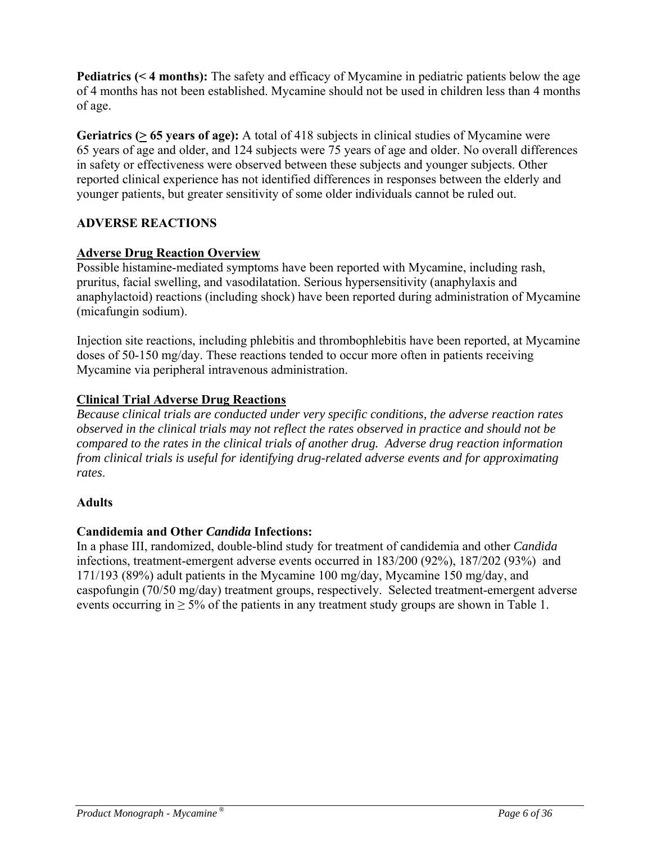**Pediatrics (< 4 months):** The safety and efficacy of Mycamine in pediatric patients below the age of 4 months has not been established. Mycamine should not be used in children less than 4 months of age.

**Geriatrics (> 65 years of age):** A total of 418 subjects in clinical studies of Mycamine were 65 years of age and older, and 124 subjects were 75 years of age and older. No overall differences in safety or effectiveness were observed between these subjects and younger subjects. Other reported clinical experience has not identified differences in responses between the elderly and younger patients, but greater sensitivity of some older individuals cannot be ruled out.

# **ADVERSE REACTIONS**

# **Adverse Drug Reaction Overview**

Possible histamine-mediated symptoms have been reported with Mycamine, including rash, pruritus, facial swelling, and vasodilatation. Serious hypersensitivity (anaphylaxis and anaphylactoid) reactions (including shock) have been reported during administration of Mycamine (micafungin sodium).

Injection site reactions, including phlebitis and thrombophlebitis have been reported, at Mycamine doses of 50-150 mg/day. These reactions tended to occur more often in patients receiving Mycamine via peripheral intravenous administration.

# **Clinical Trial Adverse Drug Reactions**

*Because clinical trials are conducted under very specific conditions, the adverse reaction rates observed in the clinical trials may not reflect the rates observed in practice and should not be compared to the rates in the clinical trials of another drug. Adverse drug reaction information from clinical trials is useful for identifying drug-related adverse events and for approximating rates*.

#### **Adults**

# **Candidemia and Other** *Candida* **Infections:**

In a phase III, randomized, double-blind study for treatment of candidemia and other *Candida* infections, treatment-emergent adverse events occurred in 183/200 (92%), 187/202 (93%) and 171/193 (89%) adult patients in the Mycamine 100 mg/day, Mycamine 150 mg/day, and caspofungin (70/50 mg/day) treatment groups, respectively. Selected treatment-emergent adverse events occurring in  $\geq$  5% of the patients in any treatment study groups are shown in Table 1.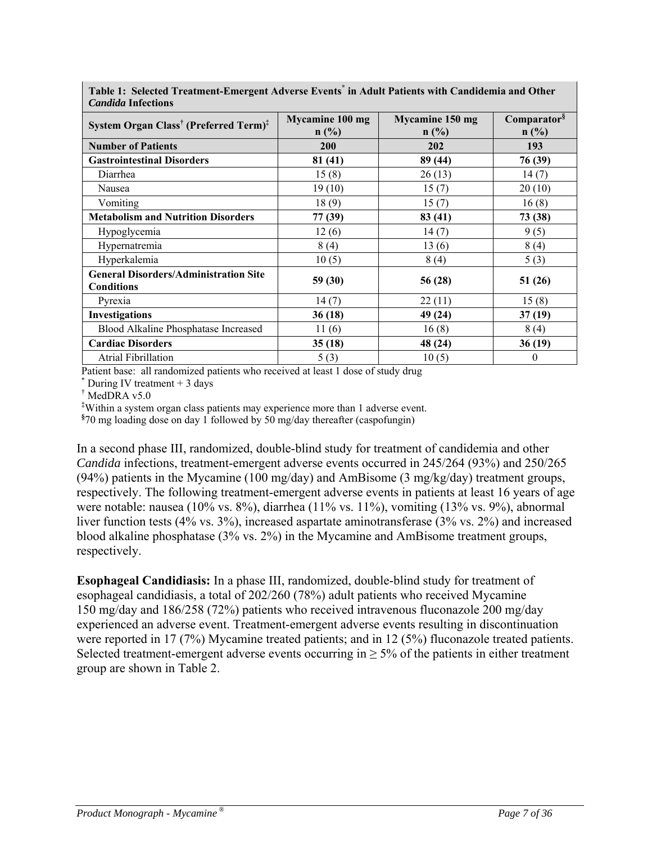| С <i>инчи</i> и ппеснопо                                          |                        |                        |                         |
|-------------------------------------------------------------------|------------------------|------------------------|-------------------------|
| System Organ Class <sup>†</sup> (Preferred Term) <sup>‡</sup>     | <b>Mycamine 100 mg</b> | <b>Mycamine 150 mg</b> | Comparator <sup>§</sup> |
|                                                                   | n(%)                   | n(%)                   | n(%)                    |
| <b>Number of Patients</b>                                         | 200                    | <b>202</b>             | 193                     |
| <b>Gastrointestinal Disorders</b>                                 | 81 (41)                | 89 (44)                | 76 (39)                 |
| Diarrhea                                                          | 15(8)                  | 26(13)                 | 14(7)                   |
| Nausea                                                            | 19(10)                 | 15(7)                  | 20(10)                  |
| Vomiting                                                          | 18(9)                  | 15(7)                  | 16(8)                   |
| <b>Metabolism and Nutrition Disorders</b>                         | 77 (39)                | 83 (41)                | 73 (38)                 |
| Hypoglycemia                                                      | 12(6)                  | 14(7)                  | 9(5)                    |
| Hypernatremia                                                     | 8(4)                   | 13(6)                  | 8(4)                    |
| Hyperkalemia                                                      | 10(5)                  | 8(4)                   | 5(3)                    |
| <b>General Disorders/Administration Site</b><br><b>Conditions</b> | 59 (30)                | 56 (28)                | 51(26)                  |
| Pyrexia                                                           | 14(7)                  | 22(11)                 | 15(8)                   |
| <b>Investigations</b>                                             | 36(18)                 | 49 (24)                | 37(19)                  |
| Blood Alkaline Phosphatase Increased                              | 11(6)                  | 16(8)                  | 8(4)                    |
| <b>Cardiac Disorders</b>                                          | 35(18)                 | 48 (24)                | 36(19)                  |
| <b>Atrial Fibrillation</b>                                        | 5(3)                   | 10(5)                  | $\boldsymbol{0}$        |

**Table 1: Selected Treatment-Emergent Adverse Events\* in Adult Patients with Candidemia and Other**  *Candida* **Infections**

Patient base: all randomized patients who received at least 1 dose of study drug

\* During IV treatment  $+3$  days

† MedDRA v5.0

**‡** Within a system organ class patients may experience more than 1 adverse event.

**§** 70 mg loading dose on day 1 followed by 50 mg/day thereafter (caspofungin)

In a second phase III, randomized, double-blind study for treatment of candidemia and other *Candida* infections, treatment-emergent adverse events occurred in 245/264 (93%) and 250/265 (94%) patients in the Mycamine (100 mg/day) and AmBisome (3 mg/kg/day) treatment groups, respectively. The following treatment-emergent adverse events in patients at least 16 years of age were notable: nausea (10% vs. 8%), diarrhea (11% vs. 11%), vomiting (13% vs. 9%), abnormal liver function tests (4% vs. 3%), increased aspartate aminotransferase (3% vs. 2%) and increased blood alkaline phosphatase (3% vs. 2%) in the Mycamine and AmBisome treatment groups, respectively.

**Esophageal Candidiasis:** In a phase III, randomized, double-blind study for treatment of esophageal candidiasis, a total of 202/260 (78%) adult patients who received Mycamine 150 mg/day and 186/258 (72%) patients who received intravenous fluconazole 200 mg/day experienced an adverse event. Treatment-emergent adverse events resulting in discontinuation were reported in 17 (7%) Mycamine treated patients; and in 12 (5%) fluconazole treated patients. Selected treatment-emergent adverse events occurring in  $\geq$  5% of the patients in either treatment group are shown in Table 2.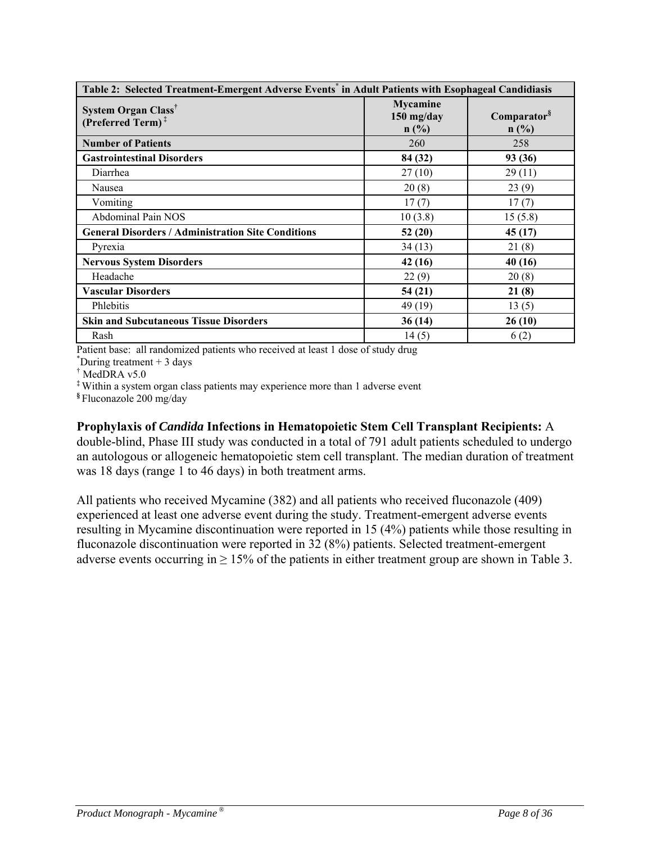| Table 2: Selected Treatment-Emergent Adverse Events <sup>*</sup> in Adult Patients with Esophageal Candidiasis |                                         |                                    |  |  |  |  |
|----------------------------------------------------------------------------------------------------------------|-----------------------------------------|------------------------------------|--|--|--|--|
| System Organ Class <sup>†</sup><br>(Preferred Term) <sup>#</sup>                                               | <b>Mycamine</b><br>$150$ mg/day<br>n(%) | Comparator <sup>§</sup><br>$n$ (%) |  |  |  |  |
| <b>Number of Patients</b>                                                                                      | 260                                     | 258                                |  |  |  |  |
| <b>Gastrointestinal Disorders</b>                                                                              | 84 (32)                                 | 93 (36)                            |  |  |  |  |
| Diarrhea                                                                                                       | 27(10)                                  | 29(11)                             |  |  |  |  |
| Nausea                                                                                                         | 20(8)                                   | 23(9)                              |  |  |  |  |
| Vomiting                                                                                                       | 17(7)                                   | 17(7)                              |  |  |  |  |
| Abdominal Pain NOS                                                                                             | 10(3.8)                                 | 15(5.8)                            |  |  |  |  |
| <b>General Disorders / Administration Site Conditions</b>                                                      | 52(20)                                  | 45 (17)                            |  |  |  |  |
| Pyrexia                                                                                                        | 34(13)                                  | 21(8)                              |  |  |  |  |
| <b>Nervous System Disorders</b>                                                                                | 42 (16)                                 | 40(16)                             |  |  |  |  |
| Headache                                                                                                       | 22(9)                                   | 20(8)                              |  |  |  |  |
| <b>Vascular Disorders</b>                                                                                      | 54(21)                                  | 21(8)                              |  |  |  |  |
| Phlebitis                                                                                                      | 49 (19)                                 | 13(5)                              |  |  |  |  |
| <b>Skin and Subcutaneous Tissue Disorders</b>                                                                  | 36(14)                                  | 26 (10)                            |  |  |  |  |
| Rash                                                                                                           | 14(5)                                   | 6(2)                               |  |  |  |  |

Patient base: all randomized patients who received at least 1 dose of study drug

 $*$ During treatment  $+3$  days

† MedDRA v5.0

**‡** Within a system organ class patients may experience more than 1 adverse event

**§** Fluconazole 200 mg/day

#### **Prophylaxis of** *Candida* **Infections in Hematopoietic Stem Cell Transplant Recipients:** A

double-blind, Phase III study was conducted in a total of 791 adult patients scheduled to undergo an autologous or allogeneic hematopoietic stem cell transplant. The median duration of treatment was 18 days (range 1 to 46 days) in both treatment arms.

All patients who received Mycamine (382) and all patients who received fluconazole (409) experienced at least one adverse event during the study. Treatment-emergent adverse events resulting in Mycamine discontinuation were reported in 15 (4%) patients while those resulting in fluconazole discontinuation were reported in 32 (8%) patients. Selected treatment-emergent adverse events occurring in  $> 15\%$  of the patients in either treatment group are shown in Table 3.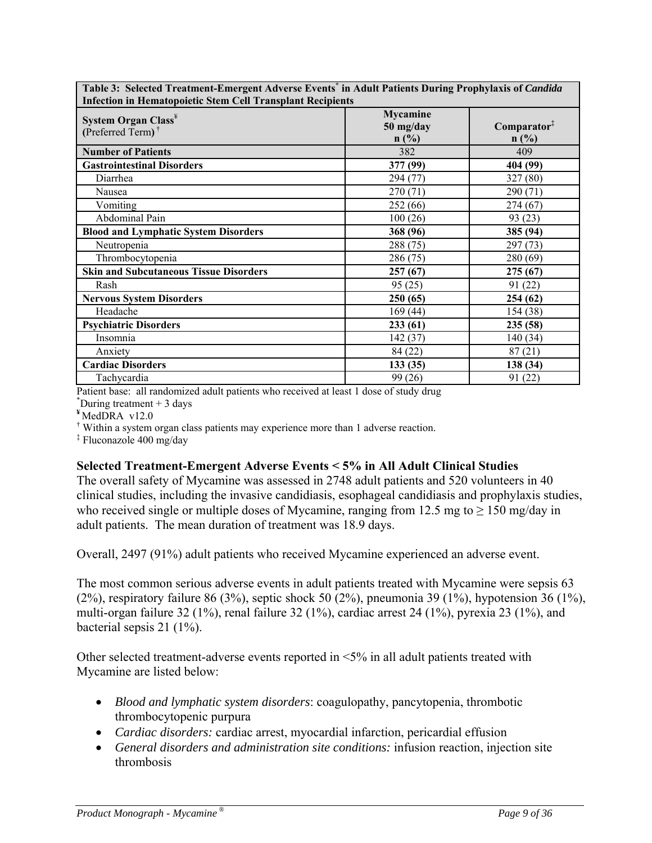| <b>Infection in Hematopoietic Stem Cell Transplant Recipients</b>                   |                               |                                 |  |  |  |  |
|-------------------------------------------------------------------------------------|-------------------------------|---------------------------------|--|--|--|--|
| System Organ Class <sup>¥</sup><br>(Preferred Term) <sup><math>\dagger</math></sup> | Mycamine<br>50 mg/day<br>n(%) | Comparator <sup>‡</sup><br>n(%) |  |  |  |  |
| <b>Number of Patients</b>                                                           | 382                           | 409                             |  |  |  |  |
| <b>Gastrointestinal Disorders</b>                                                   | 377 (99)                      | 404 (99)                        |  |  |  |  |
| Diarrhea                                                                            | 294 (77)                      | 327 (80)                        |  |  |  |  |
| Nausea                                                                              | 270 (71)                      | 290(71)                         |  |  |  |  |
| Vomiting                                                                            | 252 (66)                      | 274(67)                         |  |  |  |  |
| Abdominal Pain                                                                      | 100(26)                       | 93 (23)                         |  |  |  |  |
| <b>Blood and Lymphatic System Disorders</b>                                         | 368 (96)                      | 385 (94)                        |  |  |  |  |
| Neutropenia                                                                         | 288 (75)                      | 297 (73)                        |  |  |  |  |
| Thrombocytopenia                                                                    | 286 (75)                      | 280(69)                         |  |  |  |  |
| <b>Skin and Subcutaneous Tissue Disorders</b>                                       | 257(67)                       | 275(67)                         |  |  |  |  |
| Rash                                                                                | 95(25)                        | 91 (22)                         |  |  |  |  |
| <b>Nervous System Disorders</b>                                                     | 250 (65)                      | 254 (62)                        |  |  |  |  |
| Headache                                                                            | 169(44)                       | 154 (38)                        |  |  |  |  |
| <b>Psychiatric Disorders</b>                                                        | 233(61)                       | 235 (58)                        |  |  |  |  |
| Insomnia                                                                            | 142(37)                       | 140(34)                         |  |  |  |  |
| Anxiety                                                                             | 84 (22)                       | 87(21)                          |  |  |  |  |
| <b>Cardiac Disorders</b>                                                            | 133(35)                       | 138 (34)                        |  |  |  |  |
| Tachycardia                                                                         | 99 (26)                       | 91 (22)                         |  |  |  |  |

**Table 3: Selected Treatment-Emergent Adverse Events\* in Adult Patients During Prophylaxis of** *Candida*

Patient base: all randomized adult patients who received at least 1 dose of study drug \*

 $\textsuperscript{*}$ During treatment + 3 days

**¥** MedDRA v12.0

† Within a system organ class patients may experience more than 1 adverse reaction.

‡ Fluconazole 400 mg/day

#### **Selected Treatment-Emergent Adverse Events < 5% in All Adult Clinical Studies**

The overall safety of Mycamine was assessed in 2748 adult patients and 520 volunteers in 40 clinical studies, including the invasive candidiasis, esophageal candidiasis and prophylaxis studies, who received single or multiple doses of Mycamine, ranging from 12.5 mg to  $\geq 150$  mg/day in adult patients. The mean duration of treatment was 18.9 days.

Overall, 2497 (91%) adult patients who received Mycamine experienced an adverse event.

The most common serious adverse events in adult patients treated with Mycamine were sepsis 63 (2%), respiratory failure 86 (3%), septic shock 50 (2%), pneumonia 39 (1%), hypotension 36 (1%), multi-organ failure 32 (1%), renal failure 32 (1%), cardiac arrest 24 (1%), pyrexia 23 (1%), and bacterial sepsis 21 (1%).

Other selected treatment-adverse events reported in  $\leq 5\%$  in all adult patients treated with Mycamine are listed below:

- *Blood and lymphatic system disorders*: coagulopathy, pancytopenia, thrombotic thrombocytopenic purpura
- *Cardiac disorders:* cardiac arrest, myocardial infarction, pericardial effusion
- *General disorders and administration site conditions:* infusion reaction, injection site thrombosis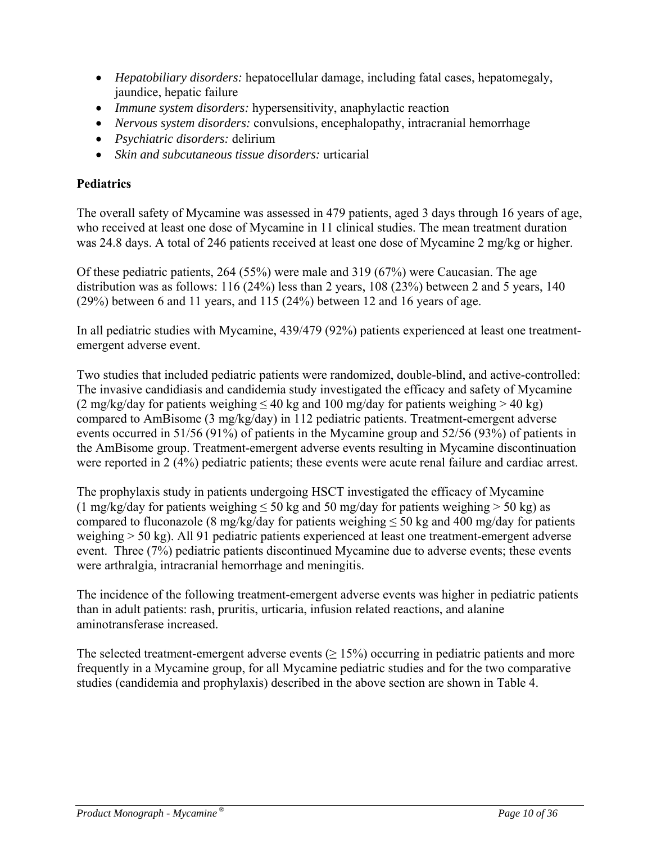- *Hepatobiliary disorders:* hepatocellular damage, including fatal cases, hepatomegaly, jaundice, hepatic failure
- *Immune system disorders:* hypersensitivity, anaphylactic reaction
- *Nervous system disorders:* convulsions, encephalopathy, intracranial hemorrhage
- *Psychiatric disorders:* delirium
- *Skin and subcutaneous tissue disorders:* urticarial

# **Pediatrics**

The overall safety of Mycamine was assessed in 479 patients, aged 3 days through 16 years of age, who received at least one dose of Mycamine in 11 clinical studies. The mean treatment duration was 24.8 days. A total of 246 patients received at least one dose of Mycamine 2 mg/kg or higher.

Of these pediatric patients, 264 (55%) were male and 319 (67%) were Caucasian. The age distribution was as follows: 116 (24%) less than 2 years, 108 (23%) between 2 and 5 years, 140 (29%) between 6 and 11 years, and 115 (24%) between 12 and 16 years of age.

In all pediatric studies with Mycamine, 439/479 (92%) patients experienced at least one treatmentemergent adverse event.

Two studies that included pediatric patients were randomized, double-blind, and active-controlled: The invasive candidiasis and candidemia study investigated the efficacy and safety of Mycamine (2 mg/kg/day for patients weighing  $\leq 40$  kg and 100 mg/day for patients weighing  $> 40$  kg) compared to AmBisome (3 mg/kg/day) in 112 pediatric patients. Treatment-emergent adverse events occurred in 51/56 (91%) of patients in the Mycamine group and 52/56 (93%) of patients in the AmBisome group. Treatment-emergent adverse events resulting in Mycamine discontinuation were reported in 2 (4%) pediatric patients; these events were acute renal failure and cardiac arrest.

The prophylaxis study in patients undergoing HSCT investigated the efficacy of Mycamine (1 mg/kg/day for patients weighing  $\leq 50$  kg and 50 mg/day for patients weighing  $> 50$  kg) as compared to fluconazole (8 mg/kg/day for patients weighing  $\leq$  50 kg and 400 mg/day for patients weighing > 50 kg). All 91 pediatric patients experienced at least one treatment-emergent adverse event. Three (7%) pediatric patients discontinued Mycamine due to adverse events; these events were arthralgia, intracranial hemorrhage and meningitis.

The incidence of the following treatment-emergent adverse events was higher in pediatric patients than in adult patients: rash, pruritis, urticaria, infusion related reactions, and alanine aminotransferase increased.

The selected treatment-emergent adverse events  $(\geq 15\%)$  occurring in pediatric patients and more frequently in a Mycamine group, for all Mycamine pediatric studies and for the two comparative studies (candidemia and prophylaxis) described in the above section are shown in Table 4.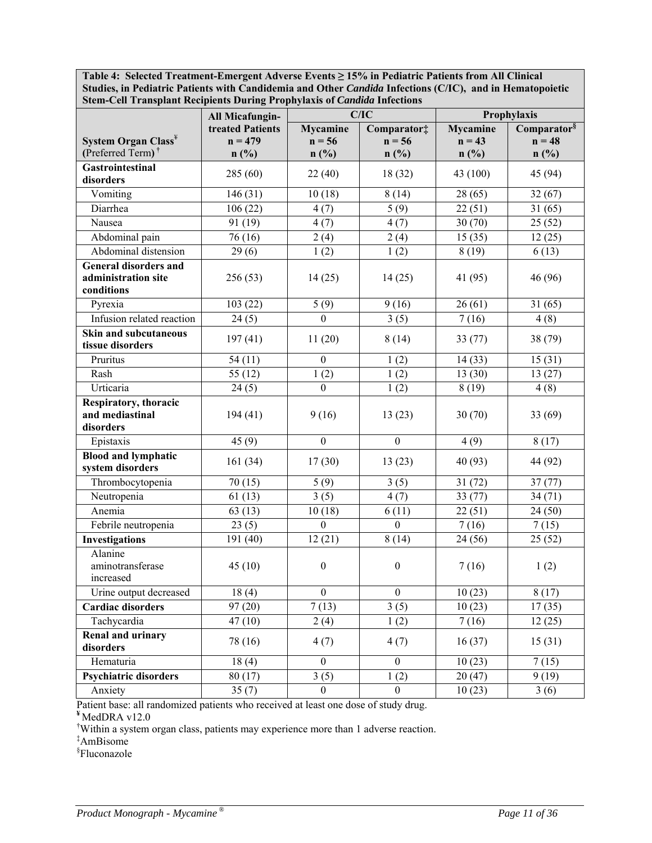**Table 4: Selected Treatment-Emergent Adverse Events ≥ 15% in Pediatric Patients from All Clinical Studies, in Pediatric Patients with Candidemia and Other** *Candida* **Infections (C/IC), and in Hematopoietic Stem-Cell Transplant Recipients During Prophylaxis of** *Candida* **Infections** 

|                                                                   | All Micafungin-                       |                                     | C/IC                            | Prophylaxis                         |                                             |
|-------------------------------------------------------------------|---------------------------------------|-------------------------------------|---------------------------------|-------------------------------------|---------------------------------------------|
| System Organ Class <sup>¥</sup><br>(Preferred Term) <sup>†</sup>  | treated Patients<br>$n = 479$<br>n(%) | <b>Mycamine</b><br>$n = 56$<br>n(%) | Comparator‡<br>$n = 56$<br>n(%) | <b>Mycamine</b><br>$n = 43$<br>n(%) | Comparator <sup>§</sup><br>$n = 48$<br>n(%) |
| Gastrointestinal<br>disorders                                     | 285 (60)                              | 22(40)                              | 18(32)                          | 43 (100)                            | 45 (94)                                     |
| Vomiting                                                          | 146(31)                               | 10(18)                              | 8(14)                           | 28(65)                              | 32(67)                                      |
| Diarrhea                                                          | 106(22)                               | 4(7)                                | 5(9)                            | 22(51)                              | $\overline{31}(65)$                         |
| Nausea                                                            | 91 (19)                               | 4(7)                                | 4(7)                            | 30(70)                              | 25(52)                                      |
| Abdominal pain                                                    | 76 (16)                               | 2(4)                                | 2(4)                            | 15(35)                              | 12(25)                                      |
| Abdominal distension                                              | 29(6)                                 | 1(2)                                | 1(2)                            | 8(19)                               | 6(13)                                       |
| <b>General disorders and</b><br>administration site<br>conditions | 256(53)                               | 14(25)                              | 14(25)                          | 41 (95)                             | 46 (96)                                     |
| Pyrexia                                                           | 103(22)                               | 5(9)                                | 9(16)                           | 26(61)                              | 31(65)                                      |
| Infusion related reaction                                         | 24(5)                                 | $\boldsymbol{0}$                    | 3(5)                            | 7(16)                               | 4(8)                                        |
| <b>Skin and subcutaneous</b><br>tissue disorders                  | 197(41)                               | 11(20)                              | 8(14)                           | 33(77)                              | 38 (79)                                     |
| Pruritus                                                          | 54(11)                                | $\mathbf{0}$                        | 1(2)                            | 14(33)                              | 15(31)                                      |
| Rash                                                              | 55(12)                                | 1(2)                                | 1(2)                            | 13(30)                              | 13(27)                                      |
| Urticaria                                                         | 24(5)                                 | $\overline{0}$                      | 1(2)                            | 8(19)                               | 4(8)                                        |
| Respiratory, thoracic<br>and mediastinal<br>disorders             | 194(41)                               | 9(16)                               | 13(23)                          | 30(70)                              | 33(69)                                      |
| Epistaxis                                                         | 45(9)                                 | $\boldsymbol{0}$                    | $\boldsymbol{0}$                | 4(9)                                | 8(17)                                       |
| <b>Blood and lymphatic</b><br>system disorders                    | 161(34)                               | 17(30)                              | 13(23)                          | 40 (93)                             | 44 (92)                                     |
| Thrombocytopenia                                                  | 70(15)                                | 5(9)                                | 3(5)                            | 31(72)                              | 37(77)                                      |
| Neutropenia                                                       | 61(13)                                | 3(5)                                | 4(7)                            | 33(77)                              | 34(71)                                      |
| Anemia                                                            | 63(13)                                | 10(18)                              | 6(11)                           | 22(51)                              | 24(50)                                      |
| Febrile neutropenia                                               | 23(5)                                 | $\boldsymbol{0}$                    | $\mathbf{0}$                    | 7(16)                               | 7(15)                                       |
| <b>Investigations</b>                                             | 191(40)                               | 12(21)                              | 8(14)                           | 24(56)                              | 25(52)                                      |
| Alanine<br>aminotransferase<br>increased                          | 45(10)                                | $\boldsymbol{0}$                    | $\boldsymbol{0}$                | 7(16)                               | 1(2)                                        |
| Urine output decreased                                            | 18(4)                                 | $\boldsymbol{0}$                    | $\boldsymbol{0}$                | 10(23)                              | 8(17)                                       |
| <b>Cardiac disorders</b>                                          | 97(20)                                | 7(13)                               | $\overline{3(5)}$               | 10(23)                              | 17(35)                                      |
| Tachycardia                                                       | 47(10)                                | 2(4)                                | 1(2)                            | 7(16)                               | 12(25)                                      |
| <b>Renal and urinary</b><br>disorders                             | 78 (16)                               | 4(7)                                | 4(7)                            | 16(37)                              | 15(31)                                      |
| Hematuria                                                         | 18(4)                                 | $\boldsymbol{0}$                    | $\boldsymbol{0}$                | 10(23)                              | 7(15)                                       |
| <b>Psychiatric disorders</b>                                      | 80(17)                                | $\overline{3}(5)$                   | 1(2)                            | 20(47)                              | 9(19)                                       |
| Anxiety                                                           | 35(7)                                 | $\overline{0}$                      | $\boldsymbol{0}$                | 10(23)                              | 3(6)                                        |

Patient base: all randomized patients who received at least one dose of study drug.

**¥** MedDRA v12.0

† Within a system organ class, patients may experience more than 1 adverse reaction.

‡ AmBisome

§ Fluconazole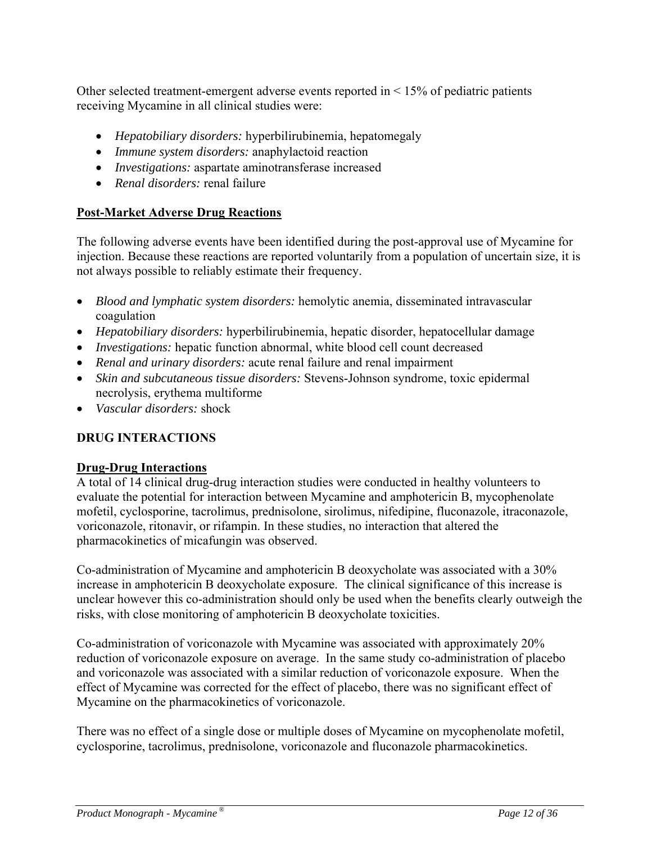Other selected treatment-emergent adverse events reported in  $\leq 15\%$  of pediatric patients receiving Mycamine in all clinical studies were:

- *Hepatobiliary disorders:* hyperbilirubinemia, hepatomegaly
- *Immune system disorders:* anaphylactoid reaction
- *Investigations:* aspartate aminotransferase increased
- *Renal disorders:* renal failure

# **Post-Market Adverse Drug Reactions**

The following adverse events have been identified during the post-approval use of Mycamine for injection. Because these reactions are reported voluntarily from a population of uncertain size, it is not always possible to reliably estimate their frequency.

- *Blood and lymphatic system disorders:* hemolytic anemia, disseminated intravascular coagulation
- *Hepatobiliary disorders:* hyperbilirubinemia, hepatic disorder, hepatocellular damage
- *Investigations:* hepatic function abnormal, white blood cell count decreased
- *Renal and urinary disorders:* acute renal failure and renal impairment
- *Skin and subcutaneous tissue disorders:* Stevens-Johnson syndrome, toxic epidermal necrolysis, erythema multiforme
- *Vascular disorders:* shock

# **DRUG INTERACTIONS**

# **Drug-Drug Interactions**

A total of 14 clinical drug-drug interaction studies were conducted in healthy volunteers to evaluate the potential for interaction between Mycamine and amphotericin B, mycophenolate mofetil, cyclosporine, tacrolimus, prednisolone, sirolimus, nifedipine, fluconazole, itraconazole, voriconazole, ritonavir, or rifampin. In these studies, no interaction that altered the pharmacokinetics of micafungin was observed.

Co-administration of Mycamine and amphotericin B deoxycholate was associated with a 30% increase in amphotericin B deoxycholate exposure. The clinical significance of this increase is unclear however this co-administration should only be used when the benefits clearly outweigh the risks, with close monitoring of amphotericin B deoxycholate toxicities.

Co-administration of voriconazole with Mycamine was associated with approximately 20% reduction of voriconazole exposure on average. In the same study co-administration of placebo and voriconazole was associated with a similar reduction of voriconazole exposure. When the effect of Mycamine was corrected for the effect of placebo, there was no significant effect of Mycamine on the pharmacokinetics of voriconazole.

There was no effect of a single dose or multiple doses of Mycamine on mycophenolate mofetil, cyclosporine, tacrolimus, prednisolone, voriconazole and fluconazole pharmacokinetics.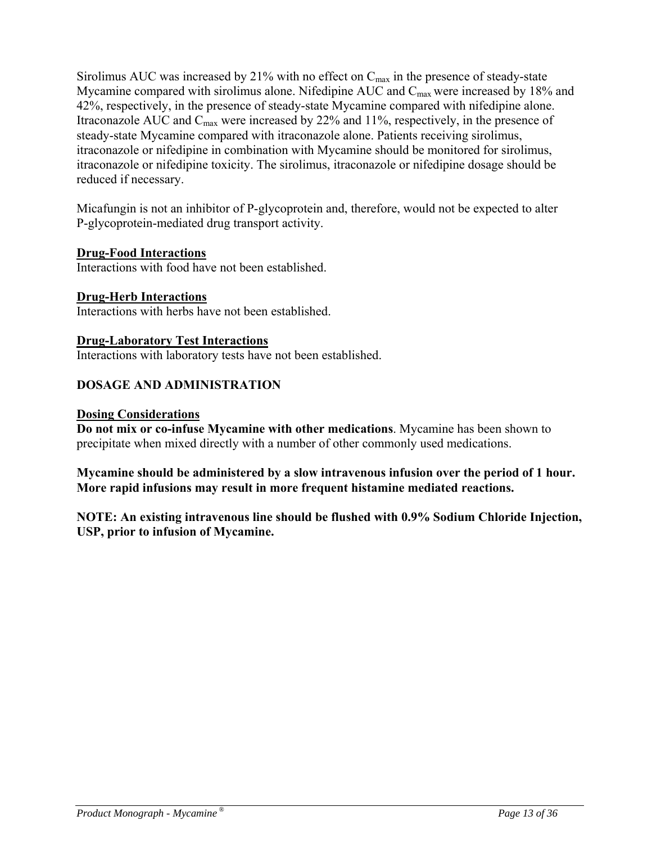Sirolimus AUC was increased by 21% with no effect on  $C_{\text{max}}$  in the presence of steady-state Mycamine compared with sirolimus alone. Nifedipine AUC and  $C_{\text{max}}$  were increased by 18% and 42%, respectively, in the presence of steady-state Mycamine compared with nifedipine alone. Itraconazole AUC and  $C_{\text{max}}$  were increased by 22% and 11%, respectively, in the presence of steady-state Mycamine compared with itraconazole alone. Patients receiving sirolimus, itraconazole or nifedipine in combination with Mycamine should be monitored for sirolimus, itraconazole or nifedipine toxicity. The sirolimus, itraconazole or nifedipine dosage should be reduced if necessary.

Micafungin is not an inhibitor of P-glycoprotein and, therefore, would not be expected to alter P-glycoprotein-mediated drug transport activity.

#### **Drug-Food Interactions**

Interactions with food have not been established.

#### **Drug-Herb Interactions**  Interactions with herbs have not been established.

#### **Drug-Laboratory Test Interactions**

Interactions with laboratory tests have not been established.

### **DOSAGE AND ADMINISTRATION**

#### **Dosing Considerations**

**Do not mix or co-infuse Mycamine with other medications**. Mycamine has been shown to precipitate when mixed directly with a number of other commonly used medications.

**Mycamine should be administered by a slow intravenous infusion over the period of 1 hour. More rapid infusions may result in more frequent histamine mediated reactions.** 

#### **NOTE: An existing intravenous line should be flushed with 0.9% Sodium Chloride Injection, USP, prior to infusion of Mycamine.**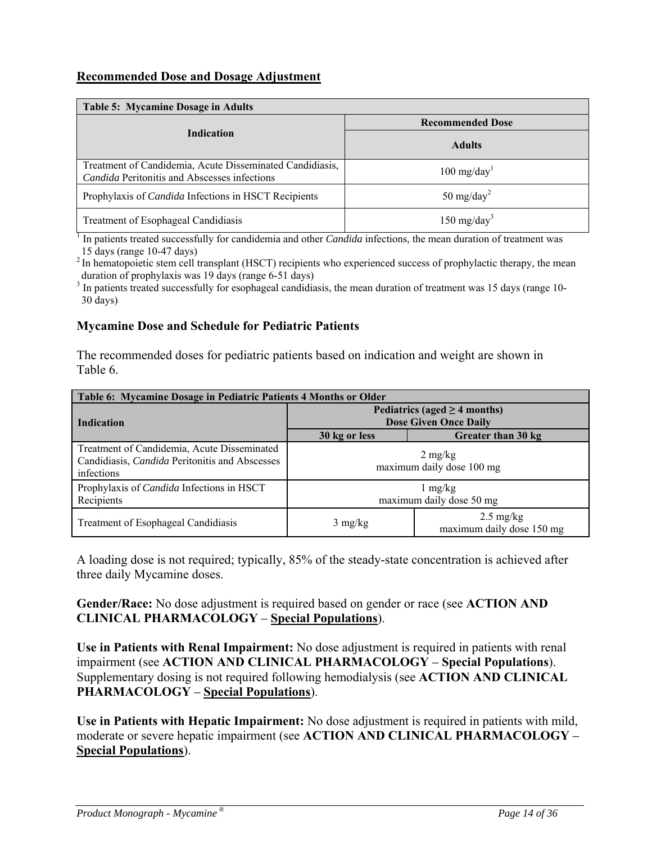### **Recommended Dose and Dosage Adjustment**

| Table 5: Mycamine Dosage in Adults                                                                       |                         |  |  |  |  |
|----------------------------------------------------------------------------------------------------------|-------------------------|--|--|--|--|
|                                                                                                          | <b>Recommended Dose</b> |  |  |  |  |
| <b>Indication</b>                                                                                        | <b>Adults</b>           |  |  |  |  |
| Treatment of Candidemia, Acute Disseminated Candidiasis,<br>Candida Peritonitis and Abscesses infections | $100 \text{ mg/day}^1$  |  |  |  |  |
| Prophylaxis of <i>Candida</i> Infections in HSCT Recipients                                              | 50 mg/day <sup>2</sup>  |  |  |  |  |
| Treatment of Esophageal Candidiasis                                                                      | 150 mg/day <sup>3</sup> |  |  |  |  |

<sup>1</sup> In patients treated successfully for candidemia and other *Candida* infections, the mean duration of treatment was 15 days (range 10-47 days)

<sup>2</sup> In hematopoietic stem cell transplant (HSCT) recipients who experienced success of prophylactic therapy, the mean duration of prophylaxis was 19 days (range 6-51 days)

<sup>3</sup> In patients treated successfully for esophageal candidiasis, the mean duration of treatment was 15 days (range 10-30 days)

#### **Mycamine Dose and Schedule for Pediatric Patients**

The recommended doses for pediatric patients based on indication and weight are shown in Table 6.

| Table 6: Mycamine Dosage in Pediatric Patients 4 Months or Older                                                   |                                                                                                          |  |  |  |  |  |
|--------------------------------------------------------------------------------------------------------------------|----------------------------------------------------------------------------------------------------------|--|--|--|--|--|
| <b>Indication</b>                                                                                                  | Pediatrics (aged $\geq$ 4 months)<br><b>Dose Given Once Daily</b><br>Greater than 30 kg<br>30 kg or less |  |  |  |  |  |
|                                                                                                                    |                                                                                                          |  |  |  |  |  |
| Treatment of Candidemia, Acute Disseminated<br>Candidiasis, <i>Candida</i> Peritonitis and Abscesses<br>infections | $2 \text{ mg/kg}$<br>maximum daily dose 100 mg                                                           |  |  |  |  |  |
| Prophylaxis of <i>Candida</i> Infections in HSCT<br>Recipients                                                     | $1 \text{ mg/kg}$<br>maximum daily dose 50 mg                                                            |  |  |  |  |  |
| Treatment of Esophageal Candidiasis                                                                                | $2.5 \text{ mg/kg}$<br>$3 \text{ mg/kg}$<br>maximum daily dose 150 mg                                    |  |  |  |  |  |

A loading dose is not required; typically, 85% of the steady-state concentration is achieved after three daily Mycamine doses.

**Gender/Race:** No dose adjustment is required based on gender or race (see **ACTION AND CLINICAL PHARMACOLOGY** *–* **Special Populations**).

**Use in Patients with Renal Impairment:** No dose adjustment is required in patients with renal impairment (see **ACTION AND CLINICAL PHARMACOLOGY** *–* **Special Populations**). Supplementary dosing is not required following hemodialysis (see **ACTION AND CLINICAL PHARMACOLOGY** *–* **Special Populations**).

**Use in Patients with Hepatic Impairment:** No dose adjustment is required in patients with mild, moderate or severe hepatic impairment (see **ACTION AND CLINICAL PHARMACOLOGY** *–*  **Special Populations**).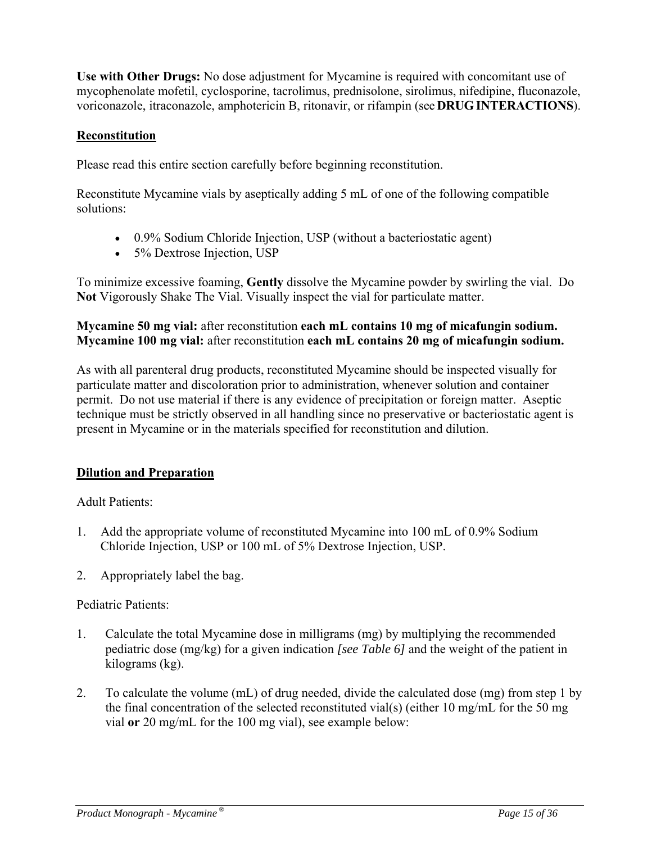**Use with Other Drugs:** No dose adjustment for Mycamine is required with concomitant use of mycophenolate mofetil, cyclosporine, tacrolimus, prednisolone, sirolimus, nifedipine, fluconazole, voriconazole, itraconazole, amphotericin B, ritonavir, or rifampin (see **DRUGINTERACTIONS**).

### **Reconstitution**

Please read this entire section carefully before beginning reconstitution.

Reconstitute Mycamine vials by aseptically adding 5 mL of one of the following compatible solutions:

- 0.9% Sodium Chloride Injection, USP (without a bacteriostatic agent)
- 5% Dextrose Injection, USP

To minimize excessive foaming, **Gently** dissolve the Mycamine powder by swirling the vial. Do **Not** Vigorously Shake The Vial. Visually inspect the vial for particulate matter.

#### **Mycamine 50 mg vial:** after reconstitution **each mL contains 10 mg of micafungin sodium. Mycamine 100 mg vial:** after reconstitution **each mL contains 20 mg of micafungin sodium.**

As with all parenteral drug products, reconstituted Mycamine should be inspected visually for particulate matter and discoloration prior to administration, whenever solution and container permit. Do not use material if there is any evidence of precipitation or foreign matter. Aseptic technique must be strictly observed in all handling since no preservative or bacteriostatic agent is present in Mycamine or in the materials specified for reconstitution and dilution.

# **Dilution and Preparation**

Adult Patients:

- 1. Add the appropriate volume of reconstituted Mycamine into 100 mL of 0.9% Sodium Chloride Injection, USP or 100 mL of 5% Dextrose Injection, USP.
- 2. Appropriately label the bag.

#### Pediatric Patients:

- 1. Calculate the total Mycamine dose in milligrams (mg) by multiplying the recommended pediatric dose (mg/kg) for a given indication *[see Table 6]* and the weight of the patient in kilograms (kg).
- 2. To calculate the volume (mL) of drug needed, divide the calculated dose (mg) from step 1 by the final concentration of the selected reconstituted vial(s) (either 10 mg/mL for the 50 mg vial **or** 20 mg/mL for the 100 mg vial), see example below: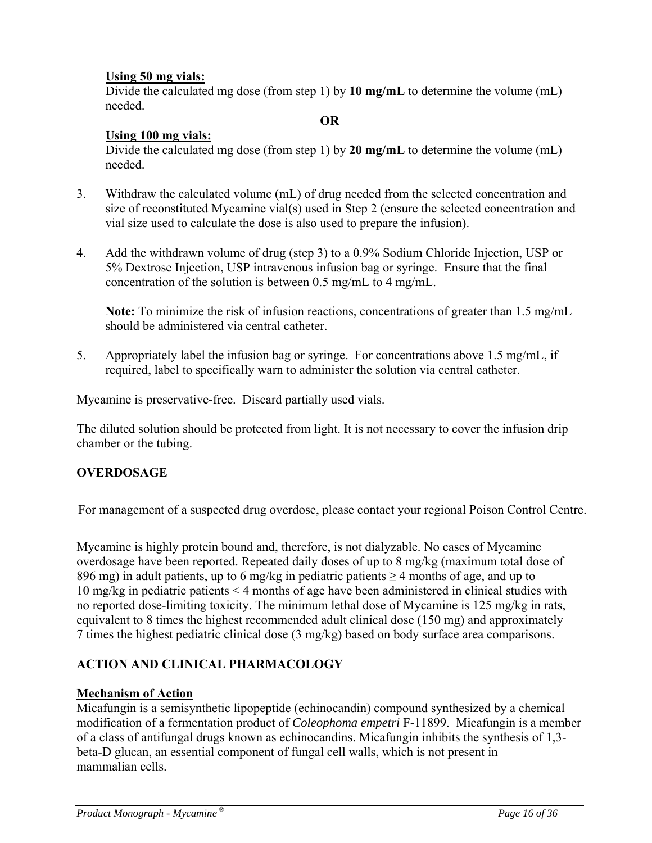### **Using 50 mg vials:**

 Divide the calculated mg dose (from step 1) by **10 mg/mL** to determine the volume (mL) needed.

#### **OR**

### **Using 100 mg vials:**

 Divide the calculated mg dose (from step 1) by **20 mg/mL** to determine the volume (mL) needed.

- 3. Withdraw the calculated volume (mL) of drug needed from the selected concentration and size of reconstituted Mycamine vial(s) used in Step 2 (ensure the selected concentration and vial size used to calculate the dose is also used to prepare the infusion).
- 4. Add the withdrawn volume of drug (step 3) to a 0.9% Sodium Chloride Injection, USP or 5% Dextrose Injection, USP intravenous infusion bag or syringe. Ensure that the final concentration of the solution is between 0.5 mg/mL to 4 mg/mL.

 **Note:** To minimize the risk of infusion reactions, concentrations of greater than 1.5 mg/mL should be administered via central catheter.

5. Appropriately label the infusion bag or syringe. For concentrations above 1.5 mg/mL, if required, label to specifically warn to administer the solution via central catheter.

Mycamine is preservative-free. Discard partially used vials.

The diluted solution should be protected from light. It is not necessary to cover the infusion drip chamber or the tubing.

# **OVERDOSAGE**

For management of a suspected drug overdose, please contact your regional Poison Control Centre.

Mycamine is highly protein bound and, therefore, is not dialyzable. No cases of Mycamine overdosage have been reported. Repeated daily doses of up to 8 mg/kg (maximum total dose of 896 mg) in adult patients, up to 6 mg/kg in pediatric patients  $\geq$  4 months of age, and up to 10 mg/kg in pediatric patients < 4 months of age have been administered in clinical studies with no reported dose-limiting toxicity. The minimum lethal dose of Mycamine is 125 mg/kg in rats, equivalent to 8 times the highest recommended adult clinical dose (150 mg) and approximately 7 times the highest pediatric clinical dose (3 mg/kg) based on body surface area comparisons.

# **ACTION AND CLINICAL PHARMACOLOGY**

#### **Mechanism of Action**

Micafungin is a semisynthetic lipopeptide (echinocandin) compound synthesized by a chemical modification of a fermentation product of *Coleophoma empetri* F-11899. Micafungin is a member of a class of antifungal drugs known as echinocandins. Micafungin inhibits the synthesis of 1,3 beta-D glucan, an essential component of fungal cell walls, which is not present in mammalian cells.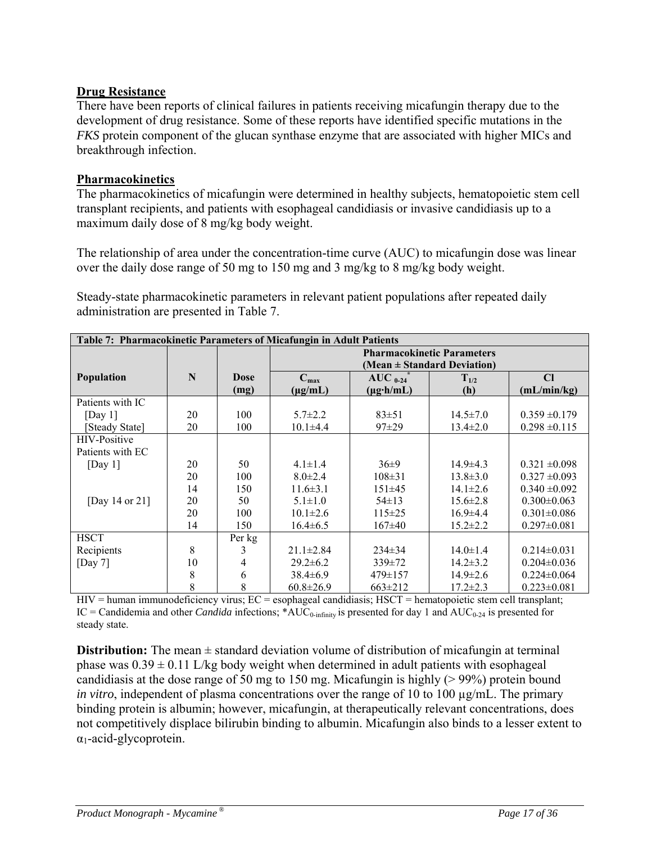### **Drug Resistance**

There have been reports of clinical failures in patients receiving micafungin therapy due to the development of drug resistance. Some of these reports have identified specific mutations in the *FKS* protein component of the glucan synthase enzyme that are associated with higher MICs and breakthrough infection.

### **Pharmacokinetics**

The pharmacokinetics of micafungin were determined in healthy subjects, hematopoietic stem cell transplant recipients, and patients with esophageal candidiasis or invasive candidiasis up to a maximum daily dose of 8 mg/kg body weight.

The relationship of area under the concentration-time curve (AUC) to micafungin dose was linear over the daily dose range of 50 mg to 150 mg and 3 mg/kg to 8 mg/kg body weight.

Steady-state pharmacokinetic parameters in relevant patient populations after repeated daily administration are presented in Table 7.

| Table 7: Pharmacokinetic Parameters of Micafungin in Adult Patients |    |                     |                                                                      |                                       |                  |                   |
|---------------------------------------------------------------------|----|---------------------|----------------------------------------------------------------------|---------------------------------------|------------------|-------------------|
|                                                                     |    |                     | <b>Pharmacokinetic Parameters</b><br>(Mean $\pm$ Standard Deviation) |                                       |                  |                   |
| <b>Population</b>                                                   | N  | <b>Dose</b><br>(mg) | $C_{\text{max}}$<br>$(\mu g/mL)$                                     | AUC $_{0-24}$<br>$(\mu g \cdot h/mL)$ | $T_{1/2}$<br>(h) | Cl<br>(mL/min/kg) |
| Patients with IC                                                    |    |                     |                                                                      |                                       |                  |                   |
| [Day 1]                                                             | 20 | 100                 | $5.7 \pm 2.2$                                                        | $83 \pm 51$                           | $14.5 \pm 7.0$   | $0.359 \pm 0.179$ |
| [Steady State]                                                      | 20 | 100                 | $10.1 \pm 4.4$                                                       | $97+29$                               | $13.4 \pm 2.0$   | $0.298 \pm 0.115$ |
| <b>HIV-Positive</b>                                                 |    |                     |                                                                      |                                       |                  |                   |
| Patients with EC                                                    |    |                     |                                                                      |                                       |                  |                   |
| [Day 1]                                                             | 20 | 50                  | $4.1 \pm 1.4$                                                        | $36\pm9$                              | $14.9 \pm 4.3$   | $0.321 \pm 0.098$ |
|                                                                     | 20 | 100                 | $8.0 \pm 2.4$                                                        | $108 \pm 31$                          | $13.8 \pm 3.0$   | $0.327 \pm 0.093$ |
|                                                                     | 14 | 150                 | $11.6\pm3.1$                                                         | $151\pm 45$                           | $14.1 \pm 2.6$   | $0.340 \pm 0.092$ |
| [Day 14 or 21]                                                      | 20 | 50                  | $5.1 \pm 1.0$                                                        | $54 \pm 13$                           | $15.6 \pm 2.8$   | $0.300 \pm 0.063$ |
|                                                                     | 20 | 100                 | $10.1 \pm 2.6$                                                       | $115 \pm 25$                          | $16.9 \pm 4.4$   | $0.301 \pm 0.086$ |
|                                                                     | 14 | 150                 | $16.4\pm 6.5$                                                        | $167\pm40$                            | $15.2 \pm 2.2$   | $0.297 \pm 0.081$ |
| <b>HSCT</b>                                                         |    | Per kg              |                                                                      |                                       |                  |                   |
| Recipients                                                          | 8  | 3                   | $21.1 \pm 2.84$                                                      | $234\pm34$                            | $14.0 \pm 1.4$   | $0.214 \pm 0.031$ |
| [Day 7]                                                             | 10 | 4                   | $29.2 \pm 6.2$                                                       | $339 \pm 72$                          | $14.2 \pm 3.2$   | $0.204 \pm 0.036$ |
|                                                                     | 8  | 6                   | $38.4\pm 6.9$                                                        | $479 \pm 157$                         | $14.9 \pm 2.6$   | $0.224 \pm 0.064$ |
|                                                                     | 8  | 8                   | $60.8 \pm 26.9$                                                      | $663 \pm 212$                         | $17.2 \pm 2.3$   | $0.223 \pm 0.081$ |

 $HIV =$  human immunodeficiency virus;  $EC =$  esophageal candidiasis;  $HSCT =$  hematopoietic stem cell transplant; IC = Candidemia and other *Candida* infections; \*AUC<sub>0-infinity</sub> is presented for day 1 and AUC<sub>0-24</sub> is presented for steady state.

**Distribution:** The mean  $\pm$  standard deviation volume of distribution of micafungin at terminal phase was  $0.39 \pm 0.11$  L/kg body weight when determined in adult patients with esophageal candidiasis at the dose range of 50 mg to 150 mg. Micafungin is highly (> 99%) protein bound *in vitro*, independent of plasma concentrations over the range of 10 to 100  $\mu$ g/mL. The primary binding protein is albumin; however, micafungin, at therapeutically relevant concentrations, does not competitively displace bilirubin binding to albumin. Micafungin also binds to a lesser extent to  $\alpha_1$ -acid-glycoprotein.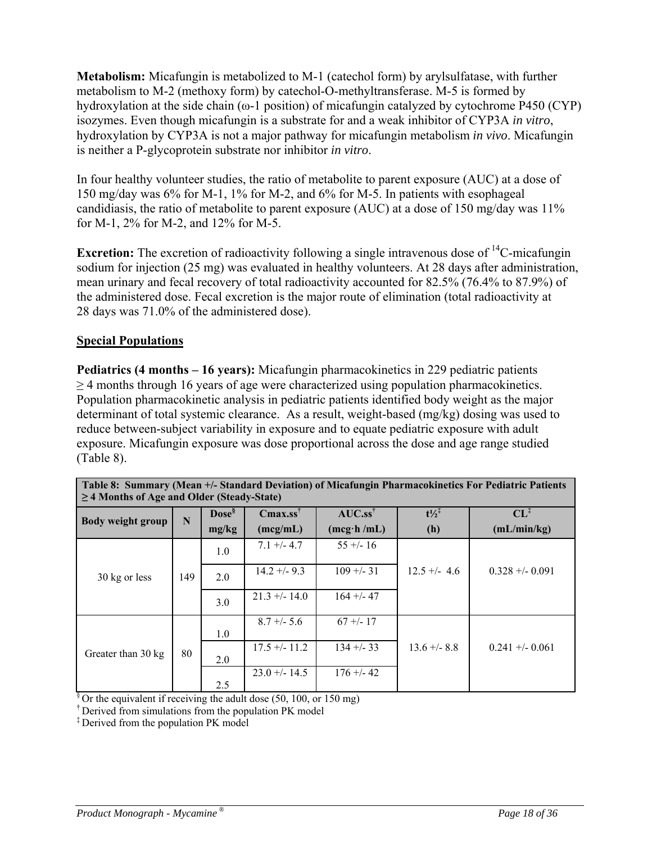**Metabolism:** Micafungin is metabolized to M-1 (catechol form) by arylsulfatase, with further metabolism to M-2 (methoxy form) by catechol-O-methyltransferase. M-5 is formed by hydroxylation at the side chain (ω-1 position) of micafungin catalyzed by cytochrome P450 (CYP) isozymes. Even though micafungin is a substrate for and a weak inhibitor of CYP3A *in vitro*, hydroxylation by CYP3A is not a major pathway for micafungin metabolism *in vivo*. Micafungin is neither a P-glycoprotein substrate nor inhibitor *in vitro*.

In four healthy volunteer studies, the ratio of metabolite to parent exposure (AUC) at a dose of 150 mg/day was 6% for M-1, 1% for M-2, and 6% for M-5. In patients with esophageal candidiasis, the ratio of metabolite to parent exposure (AUC) at a dose of 150 mg/day was 11% for M-1, 2% for M-2, and 12% for M-5.

**Excretion:** The excretion of radioactivity following a single intravenous dose of <sup>14</sup>C-micafungin sodium for injection (25 mg) was evaluated in healthy volunteers. At 28 days after administration, mean urinary and fecal recovery of total radioactivity accounted for 82.5% (76.4% to 87.9%) of the administered dose. Fecal excretion is the major route of elimination (total radioactivity at 28 days was 71.0% of the administered dose).

### **Special Populations**

**Pediatrics (4 months – 16 years):** Micafungin pharmacokinetics in 229 pediatric patients  $\geq$  4 months through 16 years of age were characterized using population pharmacokinetics. Population pharmacokinetic analysis in pediatric patients identified body weight as the major determinant of total systemic clearance. As a result, weight-based (mg/kg) dosing was used to reduce between-subject variability in exposure and to equate pediatric exposure with adult exposure. Micafungin exposure was dose proportional across the dose and age range studied (Table 8).

| Table 8: Summary (Mean +/- Standard Deviation) of Micafungin Pharmacokinetics For Pediatric Patients<br>$\geq$ 4 Months of Age and Older (Steady-State) |             |                  |                     |                      |                |                  |  |
|---------------------------------------------------------------------------------------------------------------------------------------------------------|-------------|------------------|---------------------|----------------------|----------------|------------------|--|
| Body weight group                                                                                                                                       | $\mathbf N$ | $\bf{Dose}^{\$}$ | $Cmax.ss^{\dagger}$ | $AUC.ss^{\dagger}$   | $t^{1/2}$      | $CL^{\ddagger}$  |  |
|                                                                                                                                                         |             | mg/kg            | (mcg/mL)            | $(mcg \cdot h / mL)$ | (h)            | (mL/min/kg)      |  |
|                                                                                                                                                         |             | 1.0              | $7.1 + (-4.7)$      | $55 + (-16)$         |                |                  |  |
| 30 kg or less                                                                                                                                           | 149         | 2.0              | $14.2 + -9.3$       | $109 + -31$          | $12.5 + 4.6$   | $0.328 + -0.091$ |  |
|                                                                                                                                                         |             | 3.0              | $21.3 + - 14.0$     | $164 + -47$          |                |                  |  |
|                                                                                                                                                         |             | 1.0              | $8.7 + - 5.6$       | $67 + - 17$          |                |                  |  |
| Greater than 30 kg                                                                                                                                      | 80          | 2.0              | $17.5 + (-11.2)$    | $134 + -33$          | $13.6 + - 8.8$ | $0.241 + -0.061$ |  |
|                                                                                                                                                         |             | 2.5              | $23.0 + - 14.5$     | $176 + -42$          |                |                  |  |

 $\sqrt[5]{\text{Or the equivalent if receiving the adult dose (50, 100, or 150 mg)}}$ 

<sup>†</sup> Derived from simulations from the population PK model

‡ Derived from the population PK model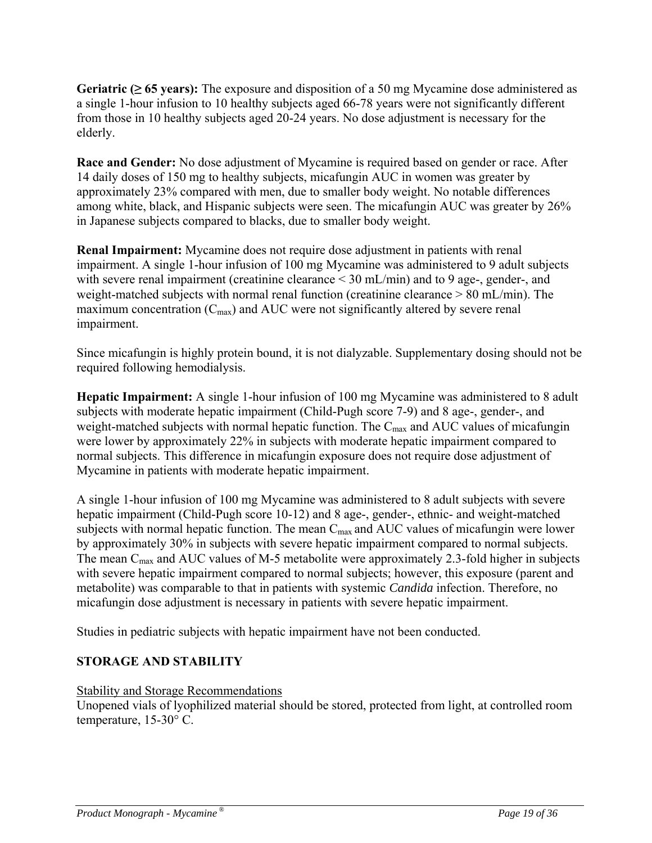**Geriatric (≥ 65 years):** The exposure and disposition of a 50 mg Mycamine dose administered as a single 1-hour infusion to 10 healthy subjects aged 66-78 years were not significantly different from those in 10 healthy subjects aged 20-24 years. No dose adjustment is necessary for the elderly.

**Race and Gender:** No dose adjustment of Mycamine is required based on gender or race. After 14 daily doses of 150 mg to healthy subjects, micafungin AUC in women was greater by approximately 23% compared with men, due to smaller body weight. No notable differences among white, black, and Hispanic subjects were seen. The micafungin AUC was greater by 26% in Japanese subjects compared to blacks, due to smaller body weight.

**Renal Impairment:** Mycamine does not require dose adjustment in patients with renal impairment. A single 1-hour infusion of 100 mg Mycamine was administered to 9 adult subjects with severe renal impairment (creatinine clearance  $\leq$  30 mL/min) and to 9 age-, gender-, and weight-matched subjects with normal renal function (creatinine clearance > 80 mL/min). The maximum concentration  $(C_{\text{max}})$  and AUC were not significantly altered by severe renal impairment.

Since micafungin is highly protein bound, it is not dialyzable. Supplementary dosing should not be required following hemodialysis.

**Hepatic Impairment:** A single 1-hour infusion of 100 mg Mycamine was administered to 8 adult subjects with moderate hepatic impairment (Child-Pugh score 7-9) and 8 age-, gender-, and weight-matched subjects with normal hepatic function. The C<sub>max</sub> and AUC values of micafungin were lower by approximately 22% in subjects with moderate hepatic impairment compared to normal subjects. This difference in micafungin exposure does not require dose adjustment of Mycamine in patients with moderate hepatic impairment.

A single 1-hour infusion of 100 mg Mycamine was administered to 8 adult subjects with severe hepatic impairment (Child-Pugh score 10-12) and 8 age-, gender-, ethnic- and weight-matched subjects with normal hepatic function. The mean  $C_{\text{max}}$  and AUC values of micafungin were lower by approximately 30% in subjects with severe hepatic impairment compared to normal subjects. The mean  $C_{\text{max}}$  and AUC values of M-5 metabolite were approximately 2.3-fold higher in subjects with severe hepatic impairment compared to normal subjects; however, this exposure (parent and metabolite) was comparable to that in patients with systemic *Candida* infection. Therefore, no micafungin dose adjustment is necessary in patients with severe hepatic impairment.

Studies in pediatric subjects with hepatic impairment have not been conducted.

# **STORAGE AND STABILITY**

#### Stability and Storage Recommendations

Unopened vials of lyophilized material should be stored, protected from light, at controlled room temperature, 15-30° C.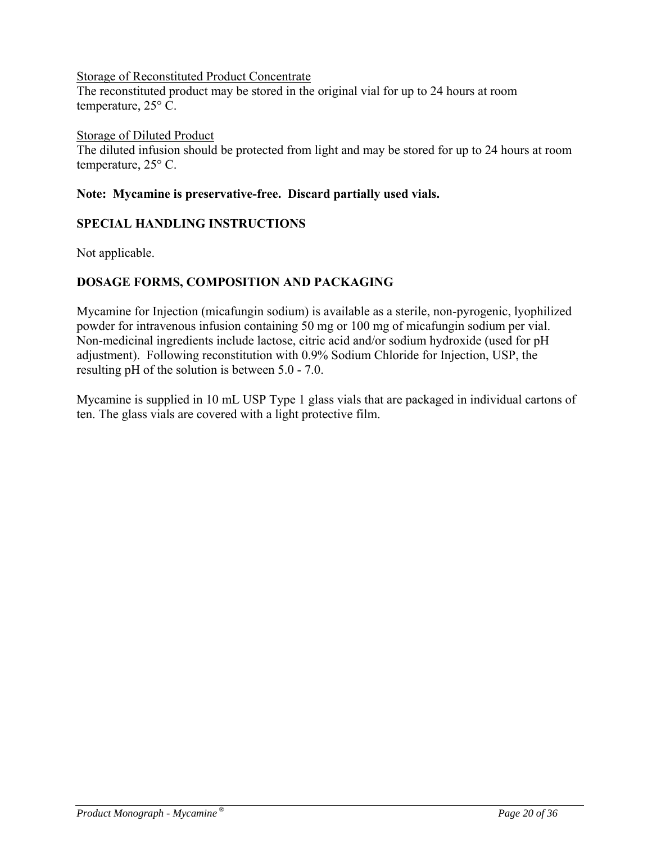#### Storage of Reconstituted Product Concentrate

The reconstituted product may be stored in the original vial for up to 24 hours at room temperature, 25° C.

#### Storage of Diluted Product

The diluted infusion should be protected from light and may be stored for up to 24 hours at room temperature, 25° C.

#### **Note: Mycamine is preservative-free. Discard partially used vials.**

#### **SPECIAL HANDLING INSTRUCTIONS**

Not applicable.

### **DOSAGE FORMS, COMPOSITION AND PACKAGING**

Mycamine for Injection (micafungin sodium) is available as a sterile, non-pyrogenic, lyophilized powder for intravenous infusion containing 50 mg or 100 mg of micafungin sodium per vial. Non-medicinal ingredients include lactose, citric acid and/or sodium hydroxide (used for pH adjustment). Following reconstitution with 0.9% Sodium Chloride for Injection, USP, the resulting pH of the solution is between 5.0 - 7.0.

Mycamine is supplied in 10 mL USP Type 1 glass vials that are packaged in individual cartons of ten. The glass vials are covered with a light protective film.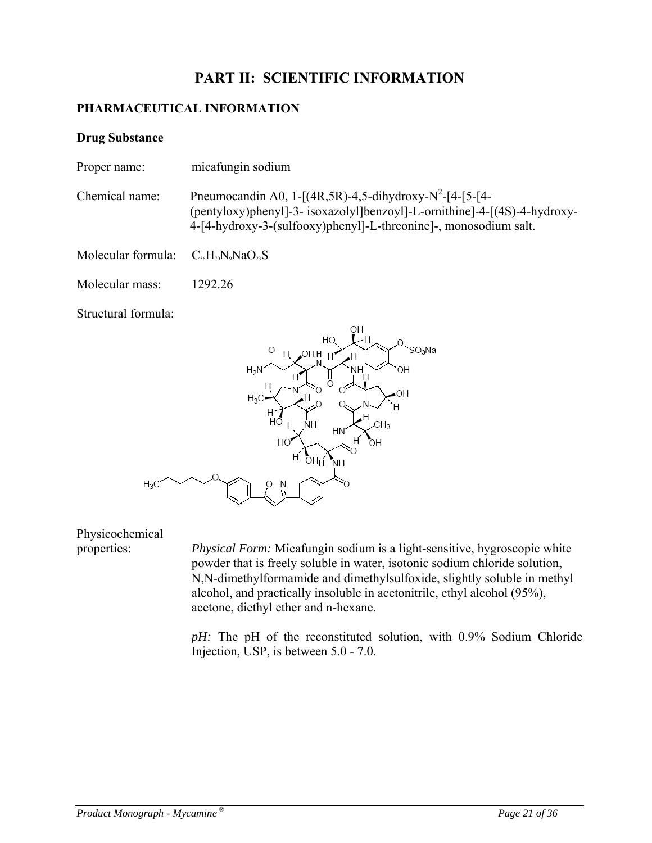# **PART II: SCIENTIFIC INFORMATION**

### **PHARMACEUTICAL INFORMATION**

#### **Drug Substance**

- Proper name: micafungin sodium
- Chemical name: Pneumocandin A0, 1- $[(4R, 5R) 4, 5$ -dihydroxy-N<sup>2</sup>- $[4 [5 [4 3R) 4, 5 2R]$ (pentyloxy)phenyl]-3- isoxazolyl]benzoyl]-L-ornithine]-4-[(4S)-4-hydroxy-4-[4-hydroxy-3-(sulfooxy)phenyl]-L-threonine]-, monosodium salt.

Molecular formula:  $C_{56}H_{70}N_9NaO_{23}S$ 

Molecular mass: 1292.26

Structural formula:



Physicochemical

properties: *Physical Form:* Micafungin sodium is a light-sensitive, hygroscopic white powder that is freely soluble in water, isotonic sodium chloride solution, N,N-dimethylformamide and dimethylsulfoxide, slightly soluble in methyl alcohol, and practically insoluble in acetonitrile, ethyl alcohol (95%), acetone, diethyl ether and n-hexane.

> *pH:* The pH of the reconstituted solution, with 0.9% Sodium Chloride Injection, USP, is between 5.0 - 7.0.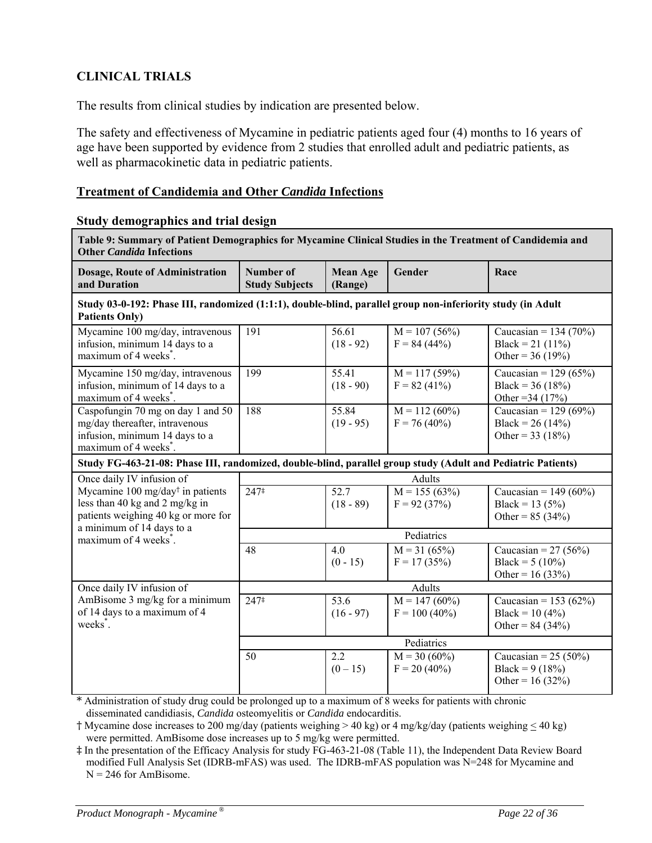# **CLINICAL TRIALS**

The results from clinical studies by indication are presented below.

The safety and effectiveness of Mycamine in pediatric patients aged four (4) months to 16 years of age have been supported by evidence from 2 studies that enrolled adult and pediatric patients, as well as pharmacokinetic data in pediatric patients.

#### **Treatment of Candidemia and Other** *Candida* **Infections**

# **Study demographics and trial design**

| Table 9: Summary of Patient Demographics for Mycamine Clinical Studies in the Treatment of Candidemia and<br><b>Other Candida Infections</b> |                                    |                            |                                              |                                                                     |
|----------------------------------------------------------------------------------------------------------------------------------------------|------------------------------------|----------------------------|----------------------------------------------|---------------------------------------------------------------------|
| Dosage, Route of Administration<br>and Duration                                                                                              | Number of<br><b>Study Subjects</b> | <b>Mean Age</b><br>(Range) | Gender                                       | Race                                                                |
| Study 03-0-192: Phase III, randomized (1:1:1), double-blind, parallel group non-inferiority study (in Adult<br><b>Patients Only)</b>         |                                    |                            |                                              |                                                                     |
| Mycamine 100 mg/day, intravenous<br>infusion, minimum 14 days to a<br>maximum of 4 weeks <sup>*</sup> .                                      | 191                                | 56.61<br>$(18 - 92)$       | $M = 107(56%)$<br>$F = 84(44\%)$             | Caucasian = $134(70\%)$<br>Black = 21 $(11\%)$<br>Other = $36(19%)$ |
| Mycamine 150 mg/day, intravenous<br>infusion, minimum of 14 days to a<br>maximum of 4 weeks <sup>*</sup> .                                   | 199                                | 55.41<br>$(18 - 90)$       | $\overline{M} = 117(59\%)$<br>$F = 82(41\%)$ | Caucasian = $129(65%)$<br>Black = $36(18%)$<br>Other = $34(17%)$    |
| Caspofungin 70 mg on day 1 and 50<br>mg/day thereafter, intravenous<br>infusion, minimum 14 days to a<br>maximum of 4 weeks <sup>*</sup> .   | 188                                | 55.84<br>$(19 - 95)$       | $M = 112(60\%)$<br>$F = 76(40\%)$            | Caucasian = $129(69\%)$<br>Black = $26(14%)$<br>Other = $33(18%)$   |
| Study FG-463-21-08: Phase III, randomized, double-blind, parallel group study (Adult and Pediatric Patients)                                 |                                    |                            |                                              |                                                                     |
| Once daily IV infusion of                                                                                                                    |                                    |                            | <b>Adults</b>                                |                                                                     |
| Mycamine $100 \text{ mg/day}^{\dagger}$ in patients<br>less than 40 kg and 2 mg/kg in<br>patients weighing 40 kg or more for                 | $247^{\ddagger}$                   | 52.7<br>$(18 - 89)$        | $M = 155(63%)$<br>$F = 92(37%)$              | Caucasian = $149(60\%)$<br>Black = 13 (5%)<br>Other = $85 (34%)$    |
| a minimum of 14 days to a<br>maximum of 4 weeks <sup>*</sup> .                                                                               |                                    |                            | Pediatrics                                   |                                                                     |
|                                                                                                                                              | 48                                 | 4.0<br>$(0 - 15)$          | $M = 31 (65%)$<br>$F = 17(35%)$              | Caucasian = $27 (56\%)$<br>Black = $5(10\%)$<br>Other = $16(33%)$   |
| Once daily IV infusion of                                                                                                                    |                                    |                            | Adults                                       |                                                                     |
| AmBisome 3 mg/kg for a minimum<br>of 14 days to a maximum of 4<br>weeks <sup>*</sup> .                                                       | 247‡                               | 53.6<br>$(16 - 97)$        | $M = 147(60\%)$<br>$F = 100 (40\%)$          | Caucasian = 153 (62%)<br>Black = 10 $(4\%)$<br>Other = $84 (34%)$   |
|                                                                                                                                              |                                    |                            | Pediatrics                                   |                                                                     |
|                                                                                                                                              | 50                                 | 2.2<br>$(0-15)$            | $M = 30 (60\%)$<br>$F = 20 (40\%)$           | Caucasian = $25 (50\%)$<br>Black = $9(18%)$<br>Other = $16(32%)$    |

\* Administration of study drug could be prolonged up to a maximum of 8 weeks for patients with chronic disseminated candidiasis, *Candida* osteomyelitis or *Candida* endocarditis.

 $\dagger$  Mycamine dose increases to 200 mg/day (patients weighing > 40 kg) or 4 mg/kg/day (patients weighing  $\leq$  40 kg) were permitted. AmBisome dose increases up to 5 mg/kg were permitted.

‡ In the presentation of the Efficacy Analysis for study FG-463-21-08 (Table 11), the Independent Data Review Board modified Full Analysis Set (IDRB-mFAS) was used. The IDRB-mFAS population was N=248 for Mycamine and  $N = 246$  for AmBisome.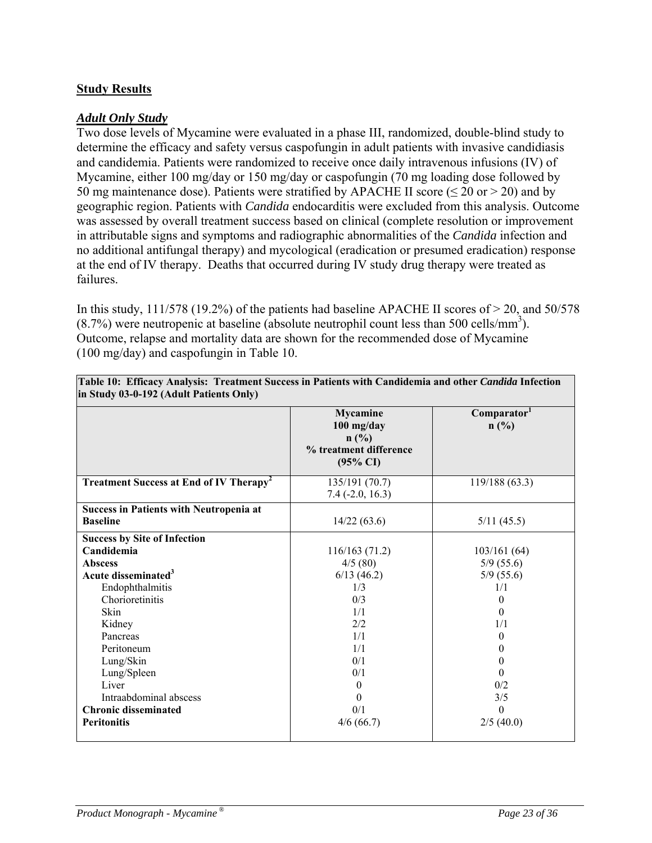### **Study Results**

#### *Adult Only Study*

Two dose levels of Mycamine were evaluated in a phase III, randomized, double-blind study to determine the efficacy and safety versus caspofungin in adult patients with invasive candidiasis and candidemia. Patients were randomized to receive once daily intravenous infusions (IV) of Mycamine, either 100 mg/day or 150 mg/day or caspofungin (70 mg loading dose followed by 50 mg maintenance dose). Patients were stratified by APACHE II score ( $\leq$  20 or  $>$  20) and by geographic region. Patients with *Candida* endocarditis were excluded from this analysis. Outcome was assessed by overall treatment success based on clinical (complete resolution or improvement in attributable signs and symptoms and radiographic abnormalities of the *Candida* infection and no additional antifungal therapy) and mycological (eradication or presumed eradication) response at the end of IV therapy. Deaths that occurred during IV study drug therapy were treated as failures.

In this study, 111/578 (19.2%) of the patients had baseline APACHE II scores of  $> 20$ , and 50/578  $(8.7%)$  were neutropenic at baseline (absolute neutrophil count less than 500 cells/mm<sup>3</sup>). Outcome, relapse and mortality data are shown for the recommended dose of Mycamine (100 mg/day) and caspofungin in Table 10.

|                                                                   | <b>Mycamine</b><br>$100$ mg/day<br>$n$ (%)<br>% treatment difference<br>$(95\% \text{ CI})$ | Comparator <sup>1</sup><br>n(%) |
|-------------------------------------------------------------------|---------------------------------------------------------------------------------------------|---------------------------------|
| <b>Treatment Success at End of IV Therapy<sup>2</sup></b>         | 135/191 (70.7)<br>$7.4(-2.0, 16.3)$                                                         | 119/188 (63.3)                  |
| <b>Success in Patients with Neutropenia at</b><br><b>Baseline</b> | 14/22(63.6)                                                                                 | 5/11(45.5)                      |
| <b>Success by Site of Infection</b><br>Candidemia                 | 116/163(71.2)                                                                               | 103/161(64)                     |
| <b>Abscess</b><br>Acute disseminated <sup>3</sup>                 | 4/5(80)<br>6/13(46.2)                                                                       | 5/9(55.6)<br>5/9(55.6)          |
| Endophthalmitis                                                   | 1/3                                                                                         | 1/1                             |
| Chorioretinitis<br><b>Skin</b>                                    | 0/3<br>1/1                                                                                  | $\Omega$<br>$\theta$            |
| Kidney<br>Pancreas                                                | 2/2<br>1/1                                                                                  | 1/1<br>$\Omega$                 |
| Peritoneum                                                        | 1/1                                                                                         | $\theta$                        |
| Lung/Skin<br>Lung/Spleen                                          | 0/1<br>0/1                                                                                  | $\mathbf{0}$<br>$\Omega$        |
| Liver                                                             | $\theta$                                                                                    | 0/2                             |
| Intraabdominal abscess                                            | 0<br>0/1                                                                                    | 3/5<br>$\theta$                 |
| <b>Chronic disseminated</b><br><b>Peritonitis</b>                 | 4/6(66.7)                                                                                   | 2/5(40.0)                       |

**Table 10: Efficacy Analysis: Treatment Success in Patients with Candidemia and other** *Candida* **Infection in Study 03-0-192 (Adult Patients Only)**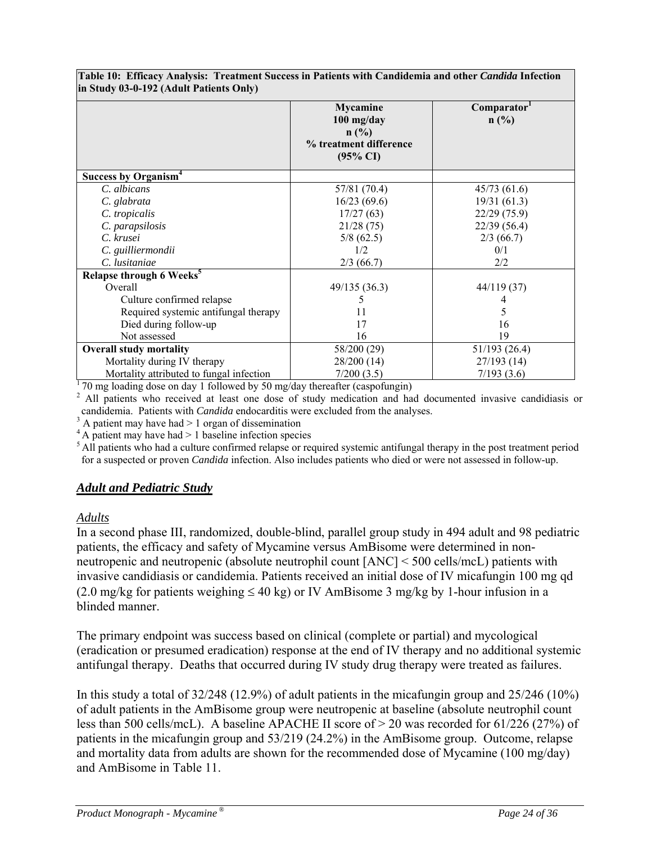|                                          | <b>Mycamine</b><br>$100$ mg/day<br>$n$ (%)<br>% treatment difference<br>$(95\% \text{ CI})$ | Comparator <sup>1</sup><br>$n$ (%) |
|------------------------------------------|---------------------------------------------------------------------------------------------|------------------------------------|
| Success by Organism <sup>4</sup>         |                                                                                             |                                    |
| C. albicans                              | 57/81 (70.4)                                                                                | 45/73(61.6)                        |
| C. glabrata                              | 16/23(69.6)                                                                                 | 19/31(61.3)                        |
| C. tropicalis                            | 17/27(63)                                                                                   | 22/29 (75.9)                       |
| C. parapsilosis                          | 21/28(75)                                                                                   | 22/39 (56.4)                       |
| C. krusei                                | 5/8(62.5)                                                                                   | 2/3(66.7)                          |
| C. guilliermondii                        | 1/2                                                                                         | 0/1                                |
| C. lusitaniae                            | 2/3(66.7)                                                                                   | 2/2                                |
| Relapse through 6 Weeks <sup>5</sup>     |                                                                                             |                                    |
| Overall                                  | 49/135(36.3)                                                                                | 44/119 (37)                        |
| Culture confirmed relapse                |                                                                                             |                                    |
| Required systemic antifungal therapy     | 11                                                                                          | 5                                  |
| Died during follow-up                    | 17                                                                                          | 16                                 |
| Not assessed                             | 16                                                                                          | 19                                 |
| <b>Overall study mortality</b>           | 58/200 (29)                                                                                 | 51/193 (26.4)                      |
| Mortality during IV therapy              | 28/200 (14)                                                                                 | 27/193(14)                         |
| Mortality attributed to fungal infection | 7/200(3.5)                                                                                  | 7/193(3.6)                         |

**Table 10: Efficacy Analysis: Treatment Success in Patients with Candidemia and other** *Candida* **Infection in Study 03-0-192 (Adult Patients Only)**

 $\frac{1}{20}$  mg loading dose on day 1 followed by 50 mg/day thereafter (caspofungin)

<sup>2</sup> All patients who received at least one dose of study medication and had documented invasive candidiasis or candidemia. Patients with *Candida* endocarditis were excluded from the analyses.

 $3$  A patient may have had  $> 1$  organ of dissemination

 $4$ A patient may have had  $> 1$  baseline infection species

<sup>5</sup> All patients who had a culture confirmed relapse or required systemic antifungal therapy in the post treatment period for a suspected or proven *Candida* infection. Also includes patients who died or were not assessed in follow-up.

#### *Adult and Pediatric Study*

#### *Adults*

In a second phase III, randomized, double-blind, parallel group study in 494 adult and 98 pediatric patients, the efficacy and safety of Mycamine versus AmBisome were determined in nonneutropenic and neutropenic (absolute neutrophil count [ANC] < 500 cells/mcL) patients with invasive candidiasis or candidemia. Patients received an initial dose of IV micafungin 100 mg qd (2.0 mg/kg for patients weighing  $\leq 40$  kg) or IV AmBisome 3 mg/kg by 1-hour infusion in a blinded manner.

The primary endpoint was success based on clinical (complete or partial) and mycological (eradication or presumed eradication) response at the end of IV therapy and no additional systemic antifungal therapy. Deaths that occurred during IV study drug therapy were treated as failures.

In this study a total of 32/248 (12.9%) of adult patients in the micafungin group and 25/246 (10%) of adult patients in the AmBisome group were neutropenic at baseline (absolute neutrophil count less than 500 cells/mcL). A baseline APACHE II score of > 20 was recorded for 61/226 (27%) of patients in the micafungin group and 53/219 (24.2%) in the AmBisome group. Outcome, relapse and mortality data from adults are shown for the recommended dose of Mycamine (100 mg/day) and AmBisome in Table 11.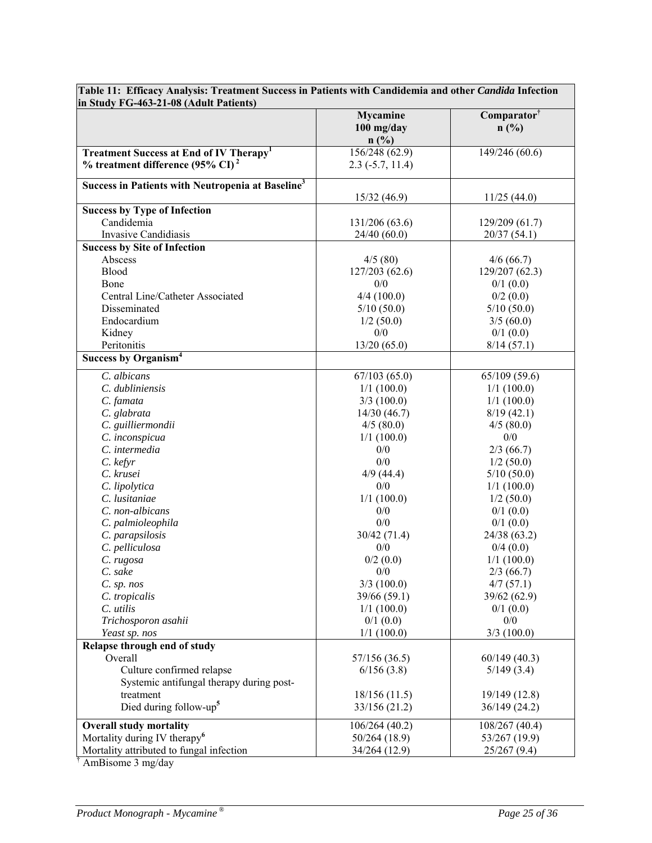|                                                               | <b>Mycamine</b>        | Comparator <sup>†</sup>      |
|---------------------------------------------------------------|------------------------|------------------------------|
|                                                               | $100$ mg/day<br>n(%)   | $n$ (%)                      |
| Treatment Success at End of IV Therapy <sup>1</sup>           | 156/248(62.9)          | 149/246 (60.6)               |
| $%$ treatment difference (95% CI) <sup>2</sup>                | $2.3$ ( $-5.7$ , 11.4) |                              |
|                                                               |                        |                              |
| Success in Patients with Neutropenia at Baseline <sup>3</sup> |                        |                              |
|                                                               | 15/32(46.9)            | 11/25(44.0)                  |
| <b>Success by Type of Infection</b><br>Candidemia             |                        |                              |
|                                                               | 131/206 (63.6)         | 129/209(61.7)                |
| <b>Invasive Candidiasis</b>                                   | 24/40(60.0)            | 20/37(54.1)                  |
| <b>Success by Site of Infection</b><br>Abscess                |                        |                              |
| <b>Blood</b>                                                  | 4/5(80)                | 4/6(66.7)                    |
| Bone                                                          | 127/203 (62.6)<br>0/0  | 129/207(62.3)<br>$0/1$ (0.0) |
| Central Line/Catheter Associated                              | 4/4(100.0)             | 0/2(0.0)                     |
| Disseminated                                                  | 5/10(50.0)             | 5/10(50.0)                   |
| Endocardium                                                   | 1/2(50.0)              | 3/5(60.0)                    |
| Kidney                                                        | $0/0$                  | 0/1(0.0)                     |
| Peritonitis                                                   | 13/20(65.0)            | 8/14(57.1)                   |
| Success by Organism <sup>4</sup>                              |                        |                              |
|                                                               |                        |                              |
| C. albicans                                                   | 67/103(65.0)           | 65/109(59.6)                 |
| C. dubliniensis                                               | 1/1(100.0)             | 1/1(100.0)                   |
| C. famata                                                     | 3/3(100.0)             | 1/1(100.0)                   |
| C. glabrata                                                   | 14/30(46.7)            | 8/19(42.1)                   |
| C. guilliermondii                                             | 4/5(80.0)              | 4/5(80.0)                    |
| C. inconspicua                                                | 1/1(100.0)             | 0/0                          |
| C. intermedia                                                 | 0/0                    | 2/3(66.7)                    |
| $C.$ kefyr                                                    | 0/0                    | 1/2(50.0)                    |
| C. krusei                                                     | $4/9$ (44.4)           | 5/10(50.0)                   |
| C. lipolytica<br>C. lusitaniae                                | 0/0                    | 1/1(100.0)                   |
| C. non-albicans                                               | 1/1(100.0)<br>0/0      | 1/2(50.0)<br>0/1(0.0)        |
| C. palmioleophila                                             | 0/0                    | 0/1(0.0)                     |
| C. parapsilosis                                               | 30/42 (71.4)           | 24/38 (63.2)                 |
| C. pelliculosa                                                | 0/0                    | 0/4(0.0)                     |
| C. rugosa                                                     | 0/2(0.0)               | 1/1(100.0)                   |
| C. sake                                                       | $0/0$                  | 2/3(66.7)                    |
| $C.$ sp. nos                                                  | 3/3(100.0)             | 4/7(57.1)                    |
| C. tropicalis                                                 | 39/66 (59.1)           | 39/62 (62.9)                 |
| C. utilis                                                     | 1/1(100.0)             | $0/1$ (0.0)                  |
| Trichosporon asahii                                           | 0/1(0.0)               | 0/0                          |
| Yeast sp. nos                                                 | 1/1(100.0)             | $3/3$ (100.0)                |
| Relapse through end of study                                  |                        |                              |
| Overall                                                       | 57/156 (36.5)          | 60/149(40.3)                 |
| Culture confirmed relapse                                     | 6/156(3.8)             | 5/149(3.4)                   |
| Systemic antifungal therapy during post-                      |                        |                              |
| treatment                                                     | 18/156(11.5)           | 19/149 (12.8)                |
| Died during follow-up <sup>5</sup>                            | 33/156 (21.2)          | 36/149 (24.2)                |
| <b>Overall study mortality</b>                                | 106/264 (40.2)         | 108/267 (40.4)               |
| Mortality during IV therapy <sup>6</sup>                      | 50/264 (18.9)          | 53/267 (19.9)                |
| Mortality attributed to fungal infection                      | 34/264 (12.9)          | 25/267(9.4)                  |
|                                                               |                        |                              |

**Table 11: Efficacy Analysis: Treatment Success in Patients with Candidemia and other** *Candida* **Infection** 

† AmBisome 3 mg/day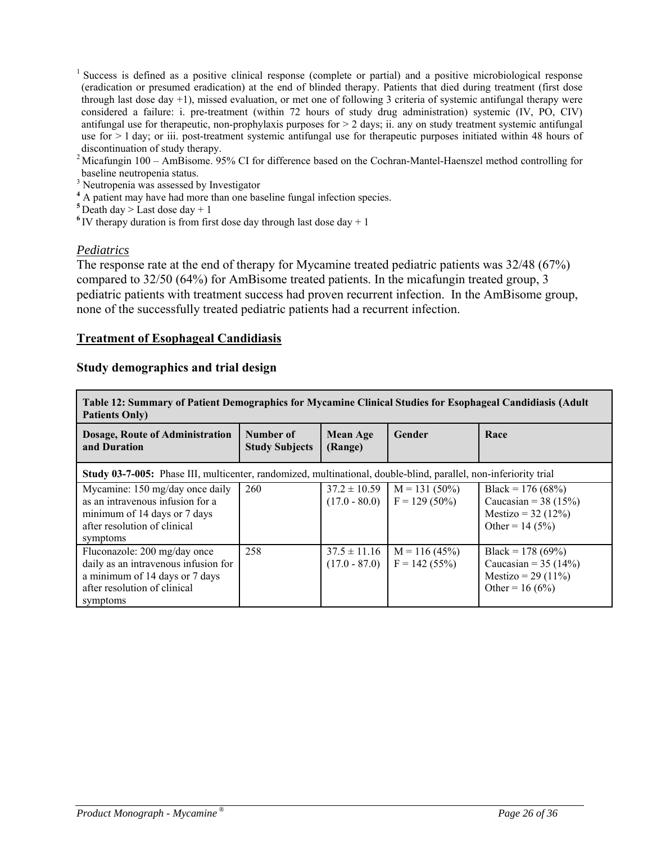- <sup>1</sup> Success is defined as a positive clinical response (complete or partial) and a positive microbiological response (eradication or presumed eradication) at the end of blinded therapy. Patients that died during treatment (first dose through last dose day +1), missed evaluation, or met one of following 3 criteria of systemic antifungal therapy were considered a failure: i. pre-treatment (within 72 hours of study drug administration) systemic (IV, PO, CIV) antifungal use for therapeutic, non-prophylaxis purposes for  $> 2$  days; ii. any on study treatment systemic antifungal use for > 1 day; or iii. post-treatment systemic antifungal use for therapeutic purposes initiated within 48 hours of discontinuation of study therapy.
- 2 Micafungin 100 AmBisome. 95% CI for difference based on the Cochran-Mantel-Haenszel method controlling for baseline neutropenia status.
- <sup>3</sup> Neutropenia was assessed by Investigator
- <sup>4</sup> A patient may have had more than one baseline fungal infection species.
- $5$ Death day > Last dose day + 1
- <sup>6</sup>IV therapy duration is from first dose day through last dose day  $+1$

#### *Pediatrics*

The response rate at the end of therapy for Mycamine treated pediatric patients was 32/48 (67%) compared to 32/50 (64%) for AmBisome treated patients. In the micafungin treated group, 3 pediatric patients with treatment success had proven recurrent infection. In the AmBisome group, none of the successfully treated pediatric patients had a recurrent infection.

#### **Treatment of Esophageal Candidiasis**

#### **Study demographics and trial design**

| Table 12: Summary of Patient Demographics for Mycamine Clinical Studies for Esophageal Candidiasis (Adult<br><b>Patients Only)</b>                 |                                    |                            |                                                                 |                                                                                           |
|----------------------------------------------------------------------------------------------------------------------------------------------------|------------------------------------|----------------------------|-----------------------------------------------------------------|-------------------------------------------------------------------------------------------|
| Dosage, Route of Administration<br>and Duration                                                                                                    | Number of<br><b>Study Subjects</b> | <b>Mean Age</b><br>(Range) | Gender                                                          | Race                                                                                      |
| Study 03-7-005: Phase III, multicenter, randomized, multinational, double-blind, parallel, non-inferiority trial                                   |                                    |                            |                                                                 |                                                                                           |
| Mycamine: 150 mg/day once daily<br>as an intravenous infusion for a<br>minimum of 14 days or 7 days<br>after resolution of clinical<br>symptoms    | 260                                |                            | $37.2 \pm 10.59$ M = 131 (50%)<br>$(17.0 - 80.0)$ F = 129 (50%) | Black = $176(68%)$<br>Caucasian = $38(15%)$<br>Mestizo = $32(12%)$<br>Other = $14(5%)$    |
| Fluconazole: 200 mg/day once<br>daily as an intravenous infusion for<br>a minimum of 14 days or 7 days<br>after resolution of clinical<br>symptoms | 258                                | $(17.0 - 87.0)$            | $37.5 \pm 11.16$ M = 116 (45%)<br>$F = 142(55%)$                | Black = $178(69\%)$<br>Caucasian = $35(14%)$<br>Mestizo = 29 $(11\%)$<br>Other = $16(6%)$ |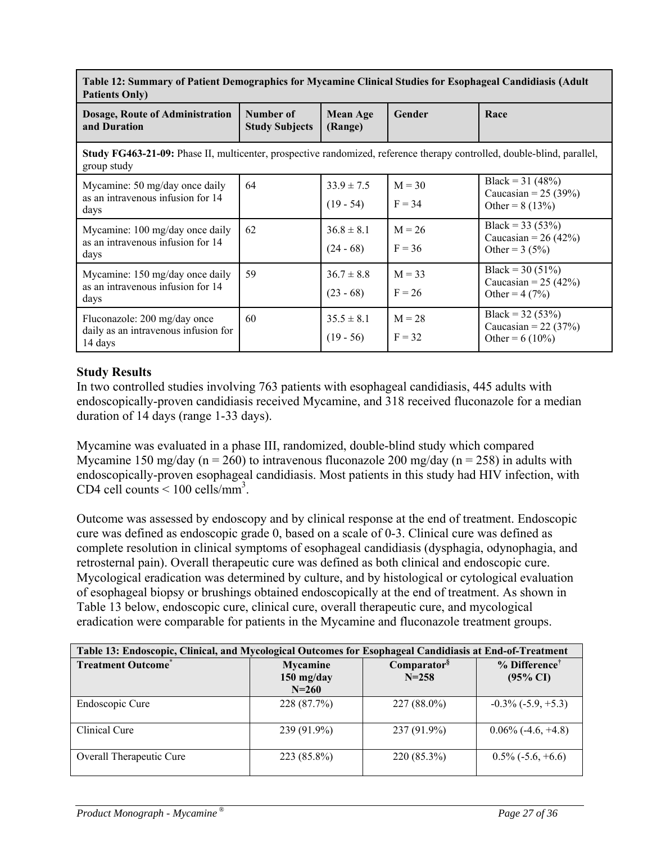| radiy 12. Summary of Fauvill Dymographics for bryganniiy Chingai Suuuts for Esophaggar Canululasis (Auult<br><b>Patients Only)</b>     |                                    |                               |                      |                                                                  |
|----------------------------------------------------------------------------------------------------------------------------------------|------------------------------------|-------------------------------|----------------------|------------------------------------------------------------------|
| Dosage, Route of Administration<br>and Duration                                                                                        | Number of<br><b>Study Subjects</b> | <b>Mean Age</b><br>(Range)    | Gender               | Race                                                             |
| Study FG463-21-09: Phase II, multicenter, prospective randomized, reference therapy controlled, double-blind, parallel,<br>group study |                                    |                               |                      |                                                                  |
| Mycamine: 50 mg/day once daily<br>as an intravenous infusion for 14<br>days                                                            | 64                                 | $33.9 \pm 7.5$<br>$(19 - 54)$ | $M = 30$<br>$F = 34$ | Black = $31(48%)$<br>Caucasian = $25 (39\%)$<br>Other = $8(13%)$ |
| Mycamine: 100 mg/day once daily<br>as an intravenous infusion for 14<br>days                                                           | 62                                 | $36.8 \pm 8.1$<br>$(24 - 68)$ | $M = 26$<br>$F = 36$ | Black = $33(53%)$<br>Caucasian = $26 (42%)$<br>Other = $3(5%)$   |
| Mycamine: 150 mg/day once daily<br>as an intravenous infusion for 14<br>days                                                           | 59                                 | $36.7 \pm 8.8$<br>$(23 - 68)$ | $M = 33$<br>$F = 26$ | Black = 30 (51%)<br>Caucasian = $25(42%)$<br>Other = $4(7%)$     |
| Fluconazole: 200 mg/day once<br>daily as an intravenous infusion for<br>14 days                                                        | 60                                 | $35.5 \pm 8.1$<br>$(19 - 56)$ | $M = 28$<br>$F = 32$ | Black = $32(53%)$<br>Caucasian = $22(37%)$<br>Other = $6(10\%)$  |

# **Table 12: Summary of Patient Demographics for Mycamine Clinical Studies for Esophageal Candidiasis (Adult**

# **Study Results**

In two controlled studies involving 763 patients with esophageal candidiasis, 445 adults with endoscopically-proven candidiasis received Mycamine, and 318 received fluconazole for a median duration of 14 days (range 1-33 days).

Mycamine was evaluated in a phase III, randomized, double-blind study which compared Mycamine 150 mg/day (n = 260) to intravenous fluconazole 200 mg/day (n = 258) in adults with endoscopically-proven esophageal candidiasis. Most patients in this study had HIV infection, with CD4 cell counts  $\leq 100$  cells/mm<sup>3</sup>.

Outcome was assessed by endoscopy and by clinical response at the end of treatment. Endoscopic cure was defined as endoscopic grade 0, based on a scale of 0-3. Clinical cure was defined as complete resolution in clinical symptoms of esophageal candidiasis (dysphagia, odynophagia, and retrosternal pain). Overall therapeutic cure was defined as both clinical and endoscopic cure. Mycological eradication was determined by culture, and by histological or cytological evaluation of esophageal biopsy or brushings obtained endoscopically at the end of treatment. As shown in Table 13 below, endoscopic cure, clinical cure, overall therapeutic cure, and mycological eradication were comparable for patients in the Mycamine and fluconazole treatment groups.

| Table 13: Endoscopic, Clinical, and Mycological Outcomes for Esophageal Candidiasis at End-of-Treatment |                                              |                                      |                                                    |  |
|---------------------------------------------------------------------------------------------------------|----------------------------------------------|--------------------------------------|----------------------------------------------------|--|
| <b>Treatment Outcome</b>                                                                                | <b>Mycamine</b><br>$150$ mg/day<br>$N = 260$ | Comparator <sup>§</sup><br>$N = 258$ | $%$ Difference <sup>†</sup><br>$(95\% \text{ CI})$ |  |
| Endoscopic Cure                                                                                         | 228 (87.7%)                                  | $227(88.0\%)$                        | $-0.3\%$ ( $-5.9, +5.3$ )                          |  |
| Clinical Cure                                                                                           | 239 (91.9%)                                  | 237 (91.9%)                          | $0.06\%$ (-4.6, +4.8)                              |  |
| Overall Therapeutic Cure                                                                                | 223 (85.8%)                                  | 220 (85.3%)                          | $0.5\%$ (-5.6, +6.6)                               |  |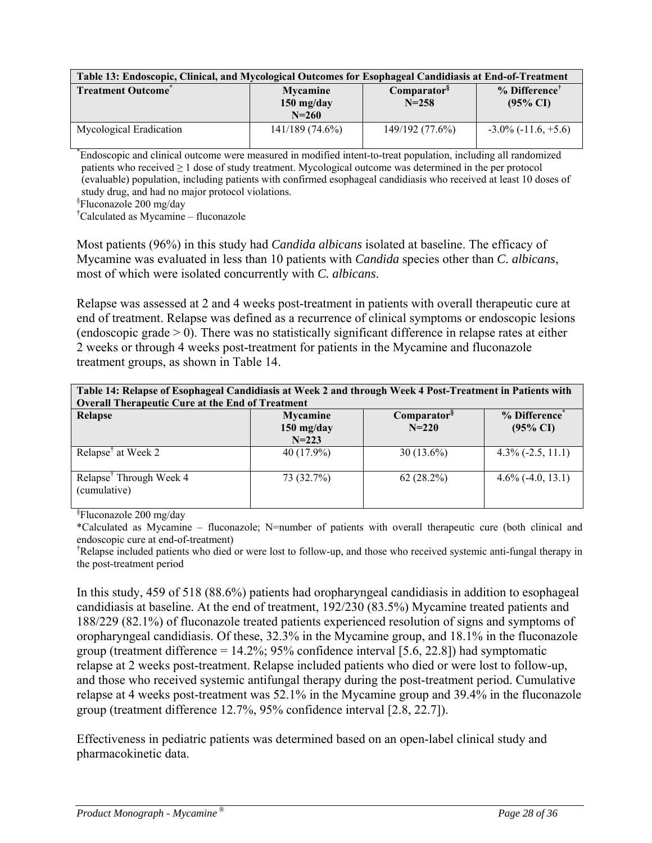| Table 13: Endoscopic, Clinical, and Mycological Outcomes for Esophageal Candidiasis at End-of-Treatment |                                              |                                      |                                                    |  |
|---------------------------------------------------------------------------------------------------------|----------------------------------------------|--------------------------------------|----------------------------------------------------|--|
| <b>Treatment Outcome</b>                                                                                | <b>Mycamine</b><br>$150$ mg/day<br>$N = 260$ | Comparator <sup>§</sup><br>$N = 258$ | $%$ Difference <sup>™</sup><br>$(95\% \text{ CI})$ |  |
| Mycological Eradication                                                                                 | $141/189(74.6\%)$                            | 149/192 (77.6%)                      | $-3.0\%$ ( $-11.6, +5.6$ )                         |  |

\* Endoscopic and clinical outcome were measured in modified intent-to-treat population, including all randomized patients who received  $\geq 1$  dose of study treatment. Mycological outcome was determined in the per protocol (evaluable) population, including patients with confirmed esophageal candidiasis who received at least 10 doses of study drug, and had no major protocol violations.

§ Fluconazole 200 mg/day

† Calculated as Mycamine – fluconazole

Most patients (96%) in this study had *Candida albicans* isolated at baseline. The efficacy of Mycamine was evaluated in less than 10 patients with *Candida* species other than *C. albicans*, most of which were isolated concurrently with *C. albicans*.

Relapse was assessed at 2 and 4 weeks post-treatment in patients with overall therapeutic cure at end of treatment. Relapse was defined as a recurrence of clinical symptoms or endoscopic lesions (endoscopic grade  $> 0$ ). There was no statistically significant difference in relapse rates at either 2 weeks or through 4 weeks post-treatment for patients in the Mycamine and fluconazole treatment groups, as shown in Table 14.

| Table 14: Relapse of Esophageal Candidiasis at Week 2 and through Week 4 Post-Treatment in Patients with<br><b>Overall Therapeutic Cure at the End of Treatment</b> |                                              |                                      |                                                  |  |  |
|---------------------------------------------------------------------------------------------------------------------------------------------------------------------|----------------------------------------------|--------------------------------------|--------------------------------------------------|--|--|
| Relapse                                                                                                                                                             | <b>Mycamine</b><br>$150$ mg/day<br>$N = 223$ | Comparator <sup>§</sup><br>$N = 220$ | % Difference <sup>®</sup><br>$(95\% \text{ CI})$ |  |  |
| Relapse <sup>†</sup> at Week 2                                                                                                                                      | 40 (17.9%)                                   | $30(13.6\%)$                         | $4.3\%$ (-2.5, 11.1)                             |  |  |
| Relapse <sup>†</sup> Through Week 4<br>(cumulative)                                                                                                                 | 73 (32.7%)                                   | 62(28.2%)                            | $4.6\%$ (-4.0, 13.1)                             |  |  |

§ Fluconazole 200 mg/day

\*Calculated as Mycamine – fluconazole; N=number of patients with overall therapeutic cure (both clinical and endoscopic cure at end-of-treatment)

† Relapse included patients who died or were lost to follow-up, and those who received systemic anti-fungal therapy in the post-treatment period

In this study, 459 of 518 (88.6%) patients had oropharyngeal candidiasis in addition to esophageal candidiasis at baseline. At the end of treatment, 192/230 (83.5%) Mycamine treated patients and 188/229 (82.1%) of fluconazole treated patients experienced resolution of signs and symptoms of oropharyngeal candidiasis. Of these, 32.3% in the Mycamine group, and 18.1% in the fluconazole group (treatment difference = 14.2%; 95% confidence interval [5.6, 22.8]) had symptomatic relapse at 2 weeks post-treatment. Relapse included patients who died or were lost to follow-up, and those who received systemic antifungal therapy during the post-treatment period. Cumulative relapse at 4 weeks post-treatment was 52.1% in the Mycamine group and 39.4% in the fluconazole group (treatment difference 12.7%, 95% confidence interval [2.8, 22.7]).

Effectiveness in pediatric patients was determined based on an open-label clinical study and pharmacokinetic data.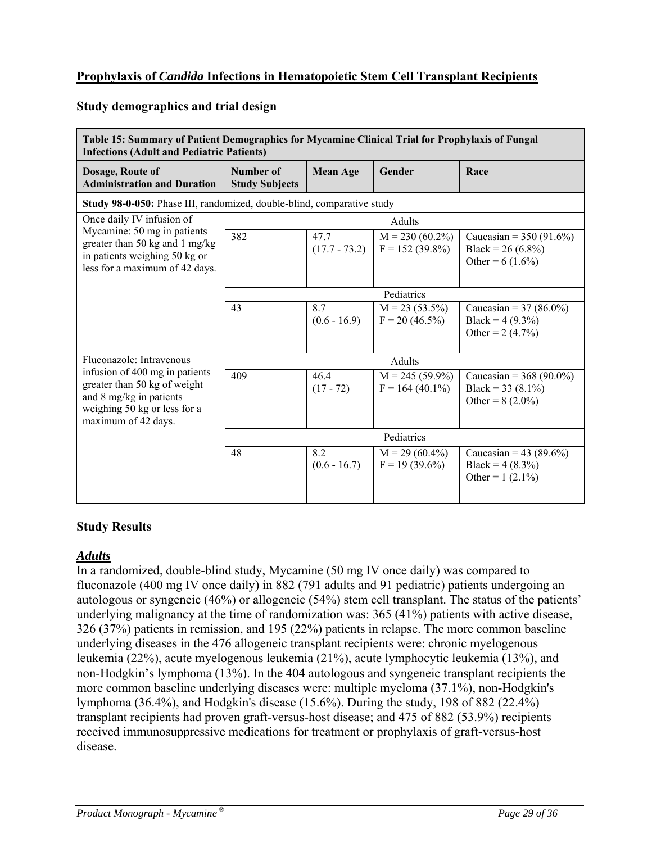# **Prophylaxis of** *Candida* **Infections in Hematopoietic Stem Cell Transplant Recipients**

#### **Study demographics and trial design**

| Table 15: Summary of Patient Demographics for Mycamine Clinical Trial for Prophylaxis of Fungal<br><b>Infections (Adult and Pediatric Patients)</b> |                                    |                         |                                         |                                                                         |
|-----------------------------------------------------------------------------------------------------------------------------------------------------|------------------------------------|-------------------------|-----------------------------------------|-------------------------------------------------------------------------|
| Dosage, Route of<br><b>Administration and Duration</b>                                                                                              | Number of<br><b>Study Subjects</b> | <b>Mean Age</b>         | Gender                                  | Race                                                                    |
| Study 98-0-050: Phase III, randomized, double-blind, comparative study                                                                              |                                    |                         |                                         |                                                                         |
| Once daily IV infusion of                                                                                                                           |                                    |                         | Adults                                  |                                                                         |
| Mycamine: 50 mg in patients<br>greater than 50 kg and 1 mg/kg<br>in patients weighing 50 kg or<br>less for a maximum of 42 days.                    | 382                                | 47.7<br>$(17.7 - 73.2)$ | $M = 230 (60.2\%)$<br>$F = 152(39.8\%)$ | Caucasian = $350(91.6\%)$<br>Black = $26(6.8\%)$<br>Other = $6(1.6\%)$  |
|                                                                                                                                                     |                                    |                         | Pediatrics                              |                                                                         |
|                                                                                                                                                     | 43                                 | 8.7<br>$(0.6 - 16.9)$   | $M = 23(53.5\%)$<br>$F = 20 (46.5\%)$   | Caucasian = $37 (86.0\%)$<br>Black = $4(9.3\%)$<br>Other = $2(4.7%)$    |
| Fluconazole: Intravenous                                                                                                                            | Adults                             |                         |                                         |                                                                         |
| infusion of 400 mg in patients<br>greater than 50 kg of weight<br>and 8 mg/kg in patients<br>weighing 50 kg or less for a<br>maximum of 42 days.    | 409                                | 46.4<br>$(17 - 72)$     | $M = 245 (59.9\%)$<br>$F = 164(40.1\%)$ | Caucasian = $368 (90.0\%)$<br>Black = $33(8.1\%)$<br>Other = $8(2.0\%)$ |
|                                                                                                                                                     |                                    |                         | Pediatrics                              |                                                                         |
|                                                                                                                                                     | 48                                 | 8.2<br>$(0.6 - 16.7)$   | $M = 29(60.4\%)$<br>$F = 19(39.6\%)$    | Caucasian = 43 (89.6%)<br>Black = $4(8.3\%)$<br>Other = $1(2.1\%)$      |

#### **Study Results**

#### *Adults*

In a randomized, double-blind study, Mycamine (50 mg IV once daily) was compared to fluconazole (400 mg IV once daily) in 882 (791 adults and 91 pediatric) patients undergoing an autologous or syngeneic (46%) or allogeneic (54%) stem cell transplant. The status of the patients' underlying malignancy at the time of randomization was: 365 (41%) patients with active disease, 326 (37%) patients in remission, and 195 (22%) patients in relapse. The more common baseline underlying diseases in the 476 allogeneic transplant recipients were: chronic myelogenous leukemia (22%), acute myelogenous leukemia (21%), acute lymphocytic leukemia (13%), and non-Hodgkin's lymphoma (13%). In the 404 autologous and syngeneic transplant recipients the more common baseline underlying diseases were: multiple myeloma (37.1%), non-Hodgkin's lymphoma (36.4%), and Hodgkin's disease (15.6%). During the study, 198 of 882 (22.4%) transplant recipients had proven graft-versus-host disease; and 475 of 882 (53.9%) recipients received immunosuppressive medications for treatment or prophylaxis of graft-versus-host disease.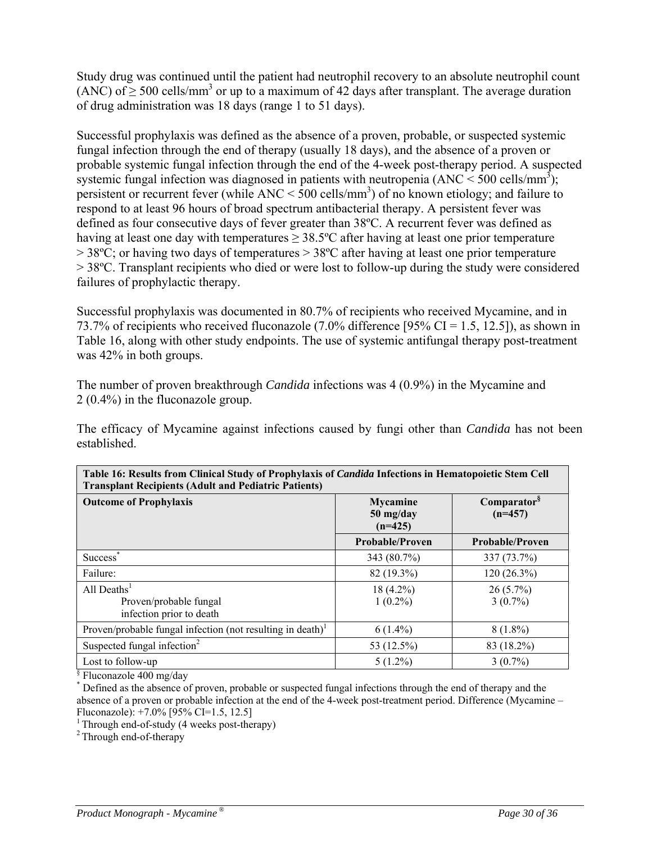Study drug was continued until the patient had neutrophil recovery to an absolute neutrophil count (ANC) of  $\geq$  500 cells/mm<sup>3</sup> or up to a maximum of 42 days after transplant. The average duration of drug administration was 18 days (range 1 to 51 days).

Successful prophylaxis was defined as the absence of a proven, probable, or suspected systemic fungal infection through the end of therapy (usually 18 days), and the absence of a proven or probable systemic fungal infection through the end of the 4-week post-therapy period. A suspected systemic fungal infection was diagnosed in patients with neutropenia  $(ANC < 500$  cells/mm<sup>3</sup>); persistent or recurrent fever (while  $\text{ANC} < 500 \text{ cells/mm}^3$ ) of no known etiology; and failure to respond to at least 96 hours of broad spectrum antibacterial therapy. A persistent fever was defined as four consecutive days of fever greater than 38ºC. A recurrent fever was defined as having at least one day with temperatures > 38.5°C after having at least one prior temperature  $> 38^{\circ}$ C; or having two days of temperatures  $> 38^{\circ}$ C after having at least one prior temperature > 38ºC. Transplant recipients who died or were lost to follow-up during the study were considered failures of prophylactic therapy.

Successful prophylaxis was documented in 80.7% of recipients who received Mycamine, and in 73.7% of recipients who received fluconazole (7.0% difference [95% CI = 1.5, 12.5]), as shown in Table 16, along with other study endpoints. The use of systemic antifungal therapy post-treatment was 42% in both groups.

The number of proven breakthrough *Candida* infections was 4 (0.9%) in the Mycamine and 2 (0.4%) in the fluconazole group.

The efficacy of Mycamine against infections caused by fungi other than *Candida* has not been established.

| Transplant iscerpients (Asquit and I culatife I attents)                                |                                           |                                      |
|-----------------------------------------------------------------------------------------|-------------------------------------------|--------------------------------------|
| <b>Outcome of Prophylaxis</b>                                                           | <b>Mycamine</b><br>50 mg/day<br>$(n=425)$ | Comparator <sup>§</sup><br>$(n=457)$ |
|                                                                                         | <b>Probable/Proven</b>                    | <b>Probable/Proven</b>               |
| Success <sup>®</sup>                                                                    | 343 (80.7%)                               | 337 (73.7%)                          |
| Failure:                                                                                | 82 (19.3%)                                | $120(26.3\%)$                        |
| All Deaths $1$<br>Proven/probable fungal<br>infection prior to death                    | $18(4.2\%)$<br>$1(0.2\%)$                 | $26(5.7\%)$<br>$3(0.7\%)$            |
| Proven/probable fungal infection (not resulting in death) <sup><math>\perp</math></sup> | $6(1.4\%)$                                | $8(1.8\%)$                           |
| Suspected fungal infection <sup>2</sup>                                                 | 53 (12.5%)                                | 83 (18.2%)                           |
| Lost to follow-up                                                                       | $5(1.2\%)$                                | $3(0.7\%)$                           |

| Table 16: Results from Clinical Study of Prophylaxis of <i>Candida</i> Infections in Hematopoietic Stem Cell |  |
|--------------------------------------------------------------------------------------------------------------|--|
| <b>Transplant Recipients (Adult and Pediatric Patients)</b>                                                  |  |

§ Fluconazole 400 mg/day

\* Defined as the absence of proven, probable or suspected fungal infections through the end of therapy and the absence of a proven or probable infection at the end of the 4-week post-treatment period. Difference (Mycamine – Fluconazole): +7.0% [95% CI=1.5, 12.5]

<sup>1</sup> Through end-of-study (4 weeks post-therapy)

<sup>2</sup> Through end-of-therapy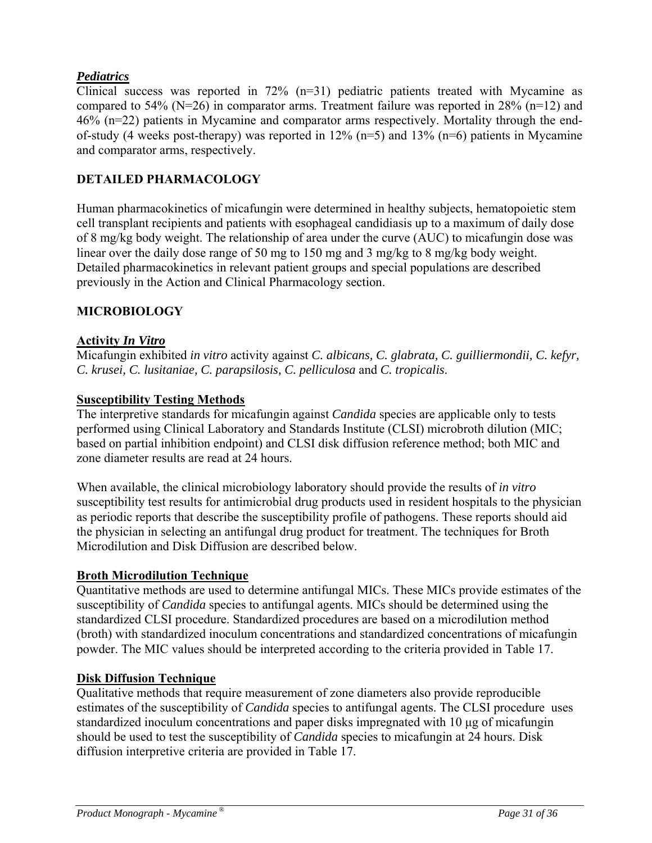# *Pediatrics*

Clinical success was reported in  $72\%$  (n=31) pediatric patients treated with Mycamine as compared to 54% ( $N=26$ ) in comparator arms. Treatment failure was reported in 28% ( $n=12$ ) and 46% (n=22) patients in Mycamine and comparator arms respectively. Mortality through the endof-study (4 weeks post-therapy) was reported in  $12\%$  (n=5) and  $13\%$  (n=6) patients in Mycamine and comparator arms, respectively.

### **DETAILED PHARMACOLOGY**

Human pharmacokinetics of micafungin were determined in healthy subjects, hematopoietic stem cell transplant recipients and patients with esophageal candidiasis up to a maximum of daily dose of 8 mg/kg body weight. The relationship of area under the curve (AUC) to micafungin dose was linear over the daily dose range of 50 mg to 150 mg and 3 mg/kg to 8 mg/kg body weight. Detailed pharmacokinetics in relevant patient groups and special populations are described previously in the Action and Clinical Pharmacology section.

### **MICROBIOLOGY**

#### **Activity** *In Vitro*

Micafungin exhibited *in vitro* activity against *C. albicans, C. glabrata, C. guilliermondii, C. kefyr, C. krusei, C. lusitaniae, C. parapsilosis, C. pelliculosa* and *C. tropicalis*.

#### **Susceptibility Testing Methods**

The interpretive standards for micafungin against *Candida* species are applicable only to tests performed using Clinical Laboratory and Standards Institute (CLSI) microbroth dilution (MIC; based on partial inhibition endpoint) and CLSI disk diffusion reference method; both MIC and zone diameter results are read at 24 hours.

When available, the clinical microbiology laboratory should provide the results of *in vitro*  susceptibility test results for antimicrobial drug products used in resident hospitals to the physician as periodic reports that describe the susceptibility profile of pathogens. These reports should aid the physician in selecting an antifungal drug product for treatment. The techniques for Broth Microdilution and Disk Diffusion are described below.

#### **Broth Microdilution Technique**

Quantitative methods are used to determine antifungal MICs. These MICs provide estimates of the susceptibility of *Candida* species to antifungal agents. MICs should be determined using the standardized CLSI procedure. Standardized procedures are based on a microdilution method (broth) with standardized inoculum concentrations and standardized concentrations of micafungin powder. The MIC values should be interpreted according to the criteria provided in Table 17.

#### **Disk Diffusion Technique**

Qualitative methods that require measurement of zone diameters also provide reproducible estimates of the susceptibility of *Candida* species to antifungal agents. The CLSI procedure uses standardized inoculum concentrations and paper disks impregnated with 10 μg of micafungin should be used to test the susceptibility of *Candida* species to micafungin at 24 hours. Disk diffusion interpretive criteria are provided in Table 17.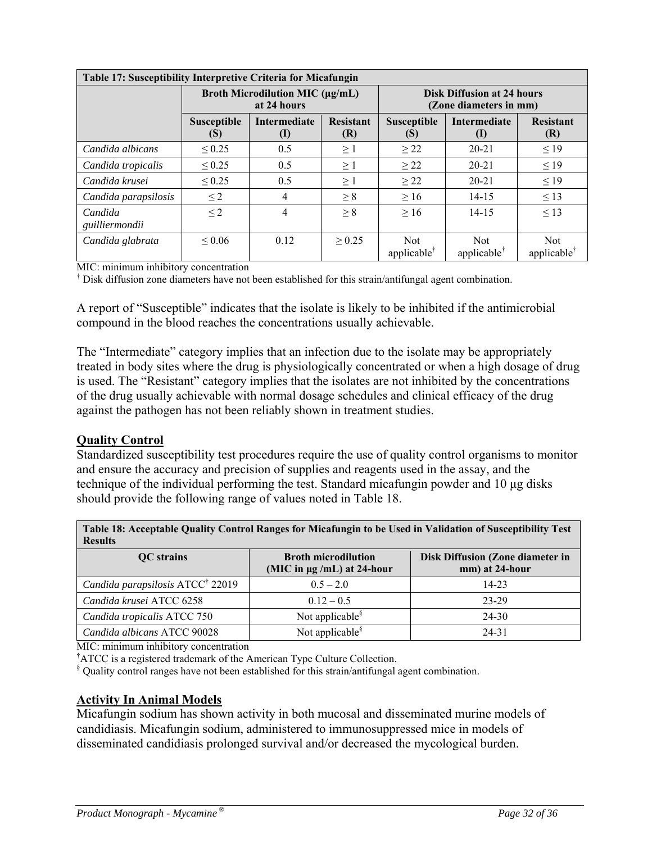| Table 17: Susceptibility Interpretive Criteria for Micafungin |                                                       |                            |                         |                                                             |                                |                                      |  |  |  |
|---------------------------------------------------------------|-------------------------------------------------------|----------------------------|-------------------------|-------------------------------------------------------------|--------------------------------|--------------------------------------|--|--|--|
|                                                               | <b>Broth Microdilution MIC (µg/mL)</b><br>at 24 hours |                            |                         | <b>Disk Diffusion at 24 hours</b><br>(Zone diameters in mm) |                                |                                      |  |  |  |
|                                                               | <b>Susceptible</b><br>(S)                             | <b>Intermediate</b><br>(I) | <b>Resistant</b><br>(R) | <b>Susceptible</b><br>(S)                                   | <b>Intermediate</b><br>(1)     | <b>Resistant</b><br>(R)              |  |  |  |
| Candida albicans                                              | $\leq 0.25$                                           | 0.5                        | $\geq 1$                | $\geq$ 22                                                   | $20 - 21$                      | $\leq$ 19                            |  |  |  |
| Candida tropicalis                                            | $\leq 0.25$                                           | 0.5                        | $\geq 1$                | >22                                                         | $20 - 21$                      | $\leq$ 19                            |  |  |  |
| Candida krusei                                                | $\leq 0.25$                                           | 0.5                        | $\geq 1$                | $\geq$ 22                                                   | $20 - 21$                      | $\leq$ 19                            |  |  |  |
| Candida parapsilosis                                          | $\leq$ 2                                              | 4                          | $\geq 8$                | >16                                                         | $14 - 15$                      | $\leq$ 13                            |  |  |  |
| Candida<br>guilliermondii                                     | $\leq$ 2                                              | 4                          | $\geq 8$                | $\geq 16$                                                   | $14 - 15$                      | $\leq$ 13                            |  |  |  |
| Candida glabrata                                              | ${}^{<}0.06$                                          | 0.12                       | > 0.25                  | <b>Not</b><br>applicable                                    | Not<br>applicable <sup>†</sup> | <b>Not</b><br>$applicable^{\dagger}$ |  |  |  |

MIC: minimum inhibitory concentration

† Disk diffusion zone diameters have not been established for this strain/antifungal agent combination.

A report of "Susceptible" indicates that the isolate is likely to be inhibited if the antimicrobial compound in the blood reaches the concentrations usually achievable.

The "Intermediate" category implies that an infection due to the isolate may be appropriately treated in body sites where the drug is physiologically concentrated or when a high dosage of drug is used. The "Resistant" category implies that the isolates are not inhibited by the concentrations of the drug usually achievable with normal dosage schedules and clinical efficacy of the drug against the pathogen has not been reliably shown in treatment studies.

#### **Quality Control**

Standardized susceptibility test procedures require the use of quality control organisms to monitor and ensure the accuracy and precision of supplies and reagents used in the assay, and the technique of the individual performing the test. Standard micafungin powder and 10 μg disks should provide the following range of values noted in Table 18.

| таріс то, лесериале фаангу сони огтандся тог гисаниндің іб ре өзей ін у анцайон от мамериалиу теяс<br><b>Results</b> |                                                               |                                                    |  |  |  |  |  |
|----------------------------------------------------------------------------------------------------------------------|---------------------------------------------------------------|----------------------------------------------------|--|--|--|--|--|
| <b>QC</b> strains                                                                                                    | <b>Broth microdilution</b><br>(MIC in $\mu$ g /mL) at 24-hour | Disk Diffusion (Zone diameter in<br>mm) at 24-hour |  |  |  |  |  |
| Candida parapsilosis ATCC <sup>†</sup> 22019                                                                         | $0.5 - 2.0$                                                   | 14-23                                              |  |  |  |  |  |
| Candida krusei ATCC 6258                                                                                             | $0.12 - 0.5$                                                  | $23 - 29$                                          |  |  |  |  |  |
| Candida tropicalis ATCC 750                                                                                          | Not applicable <sup>§</sup>                                   | $24 - 30$                                          |  |  |  |  |  |
| Candida albicans ATCC 90028                                                                                          | Not applicable <sup>§</sup>                                   | 24-31                                              |  |  |  |  |  |

**Table 18: Acceptable Quality Control Ranges for Micafungin to be Used in Validation of Susceptibility Test** 

MIC: minimum inhibitory concentration

† ATCC is a registered trademark of the American Type Culture Collection.

§ Quality control ranges have not been established for this strain/antifungal agent combination.

#### **Activity In Animal Models**

Micafungin sodium has shown activity in both mucosal and disseminated murine models of candidiasis. Micafungin sodium, administered to immunosuppressed mice in models of disseminated candidiasis prolonged survival and/or decreased the mycological burden.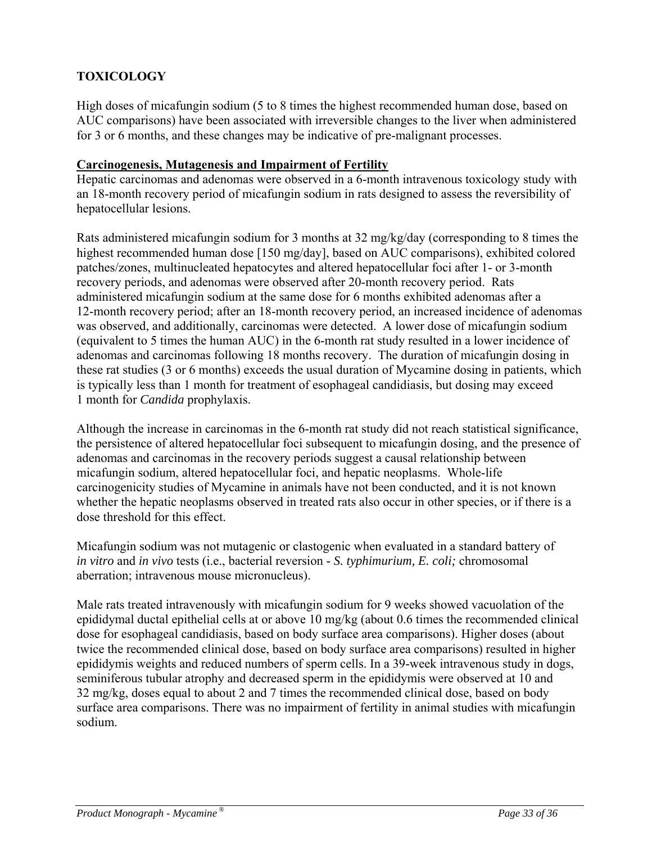# **TOXICOLOGY**

High doses of micafungin sodium (5 to 8 times the highest recommended human dose, based on AUC comparisons) have been associated with irreversible changes to the liver when administered for 3 or 6 months, and these changes may be indicative of pre-malignant processes.

#### **Carcinogenesis, Mutagenesis and Impairment of Fertility**

Hepatic carcinomas and adenomas were observed in a 6-month intravenous toxicology study with an 18-month recovery period of micafungin sodium in rats designed to assess the reversibility of hepatocellular lesions.

Rats administered micafungin sodium for 3 months at 32 mg/kg/day (corresponding to 8 times the highest recommended human dose [150 mg/day], based on AUC comparisons), exhibited colored patches/zones, multinucleated hepatocytes and altered hepatocellular foci after 1- or 3-month recovery periods, and adenomas were observed after 20-month recovery period. Rats administered micafungin sodium at the same dose for 6 months exhibited adenomas after a 12-month recovery period; after an 18-month recovery period, an increased incidence of adenomas was observed, and additionally, carcinomas were detected. A lower dose of micafungin sodium (equivalent to 5 times the human AUC) in the 6-month rat study resulted in a lower incidence of adenomas and carcinomas following 18 months recovery. The duration of micafungin dosing in these rat studies (3 or 6 months) exceeds the usual duration of Mycamine dosing in patients, which is typically less than 1 month for treatment of esophageal candidiasis, but dosing may exceed 1 month for *Candida* prophylaxis.

Although the increase in carcinomas in the 6-month rat study did not reach statistical significance, the persistence of altered hepatocellular foci subsequent to micafungin dosing, and the presence of adenomas and carcinomas in the recovery periods suggest a causal relationship between micafungin sodium, altered hepatocellular foci, and hepatic neoplasms. Whole-life carcinogenicity studies of Mycamine in animals have not been conducted, and it is not known whether the hepatic neoplasms observed in treated rats also occur in other species, or if there is a dose threshold for this effect.

Micafungin sodium was not mutagenic or clastogenic when evaluated in a standard battery of *in vitro* and *in vivo* tests (i.e., bacterial reversion - *S. typhimurium, E. coli;* chromosomal aberration; intravenous mouse micronucleus).

Male rats treated intravenously with micafungin sodium for 9 weeks showed vacuolation of the epididymal ductal epithelial cells at or above 10 mg/kg (about 0.6 times the recommended clinical dose for esophageal candidiasis, based on body surface area comparisons). Higher doses (about twice the recommended clinical dose, based on body surface area comparisons) resulted in higher epididymis weights and reduced numbers of sperm cells. In a 39-week intravenous study in dogs, seminiferous tubular atrophy and decreased sperm in the epididymis were observed at 10 and 32 mg/kg, doses equal to about 2 and 7 times the recommended clinical dose, based on body surface area comparisons. There was no impairment of fertility in animal studies with micafungin sodium.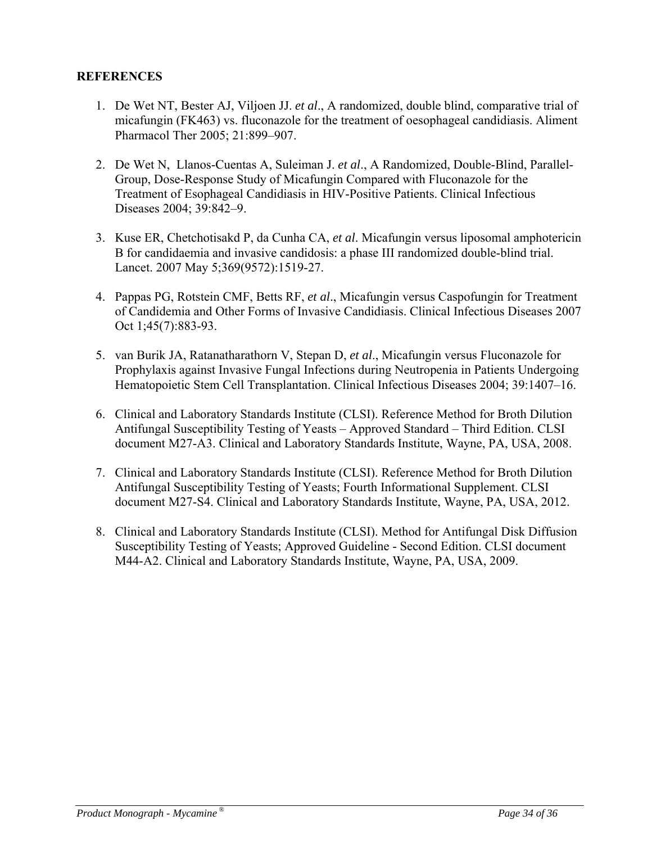#### **REFERENCES**

- 1. De Wet NT, Bester AJ, Viljoen JJ. *et al*., A randomized, double blind, comparative trial of micafungin (FK463) vs. fluconazole for the treatment of oesophageal candidiasis. Aliment Pharmacol Ther 2005; 21:899–907.
- 2. De Wet N, Llanos-Cuentas A, Suleiman J. *et al*., A Randomized, Double-Blind, Parallel-Group, Dose-Response Study of Micafungin Compared with Fluconazole for the Treatment of Esophageal Candidiasis in HIV-Positive Patients. Clinical Infectious Diseases 2004; 39:842–9.
- 3. Kuse ER, Chetchotisakd P, da Cunha CA, *et al*. Micafungin versus liposomal amphotericin B for candidaemia and invasive candidosis: a phase III randomized double-blind trial. Lancet. 2007 May 5;369(9572):1519-27.
- 4. Pappas PG, Rotstein CMF, Betts RF, *et al*., Micafungin versus Caspofungin for Treatment of Candidemia and Other Forms of Invasive Candidiasis. Clinical Infectious Diseases 2007 Oct 1;45(7):883-93.
- 5. van Burik JA, Ratanatharathorn V, Stepan D, *et al*., Micafungin versus Fluconazole for Prophylaxis against Invasive Fungal Infections during Neutropenia in Patients Undergoing Hematopoietic Stem Cell Transplantation. Clinical Infectious Diseases 2004; 39:1407–16.
- 6. Clinical and Laboratory Standards Institute (CLSI). Reference Method for Broth Dilution Antifungal Susceptibility Testing of Yeasts – Approved Standard – Third Edition. CLSI document M27-A3. Clinical and Laboratory Standards Institute, Wayne, PA, USA, 2008.
- 7. Clinical and Laboratory Standards Institute (CLSI). Reference Method for Broth Dilution Antifungal Susceptibility Testing of Yeasts; Fourth Informational Supplement. CLSI document M27-S4. Clinical and Laboratory Standards Institute, Wayne, PA, USA, 2012.
- 8. Clinical and Laboratory Standards Institute (CLSI). Method for Antifungal Disk Diffusion Susceptibility Testing of Yeasts; Approved Guideline - Second Edition. CLSI document M44-A2. Clinical and Laboratory Standards Institute, Wayne, PA, USA, 2009.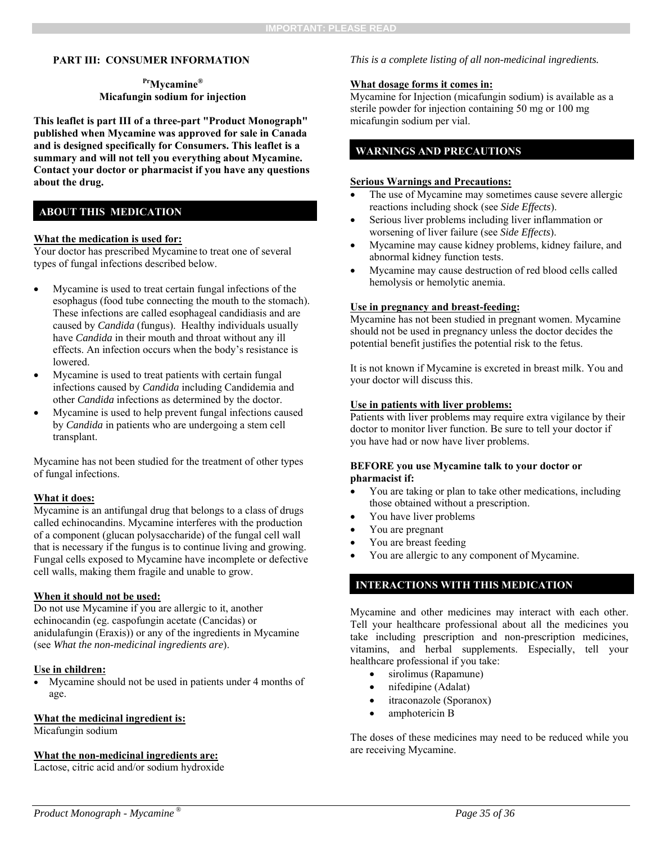#### **PART III: CONSUMER INFORMATION**

#### **PrMycamine® Micafungin sodium for injection**

**This leaflet is part III of a three-part "Product Monograph" published when Mycamine was approved for sale in Canada and is designed specifically for Consumers. This leaflet is a summary and will not tell you everything about Mycamine. Contact your doctor or pharmacist if you have any questions about the drug.** 

#### **ABOUT THIS MEDICATION**

#### **What the medication is used for:**

Your doctor has prescribed Mycamine to treat one of several types of fungal infections described below.

- Mycamine is used to treat certain fungal infections of the esophagus (food tube connecting the mouth to the stomach). These infections are called esophageal candidiasis and are caused by *Candida* (fungus). Healthy individuals usually have *Candida* in their mouth and throat without any ill effects. An infection occurs when the body's resistance is lowered.
- Mycamine is used to treat patients with certain fungal infections caused by *Candida* including Candidemia and other *Candida* infections as determined by the doctor.
- Mycamine is used to help prevent fungal infections caused by *Candida* in patients who are undergoing a stem cell transplant.

Mycamine has not been studied for the treatment of other types of fungal infections.

#### **What it does:**

Mycamine is an antifungal drug that belongs to a class of drugs called echinocandins. Mycamine interferes with the production of a component (glucan polysaccharide) of the fungal cell wall that is necessary if the fungus is to continue living and growing. Fungal cells exposed to Mycamine have incomplete or defective cell walls, making them fragile and unable to grow.

#### **When it should not be used:**

Do not use Mycamine if you are allergic to it, another echinocandin (eg. caspofungin acetate (Cancidas) or anidulafungin (Eraxis)) or any of the ingredients in Mycamine (see *What the non-medicinal ingredients are*).

#### **Use in children:**

 Mycamine should not be used in patients under 4 months of age.

#### **What the medicinal ingredient is:**

Micafungin sodium

#### **What the non-medicinal ingredients are:**

Lactose, citric acid and/or sodium hydroxide

#### *This is a complete listing of all non-medicinal ingredients.*

#### **What dosage forms it comes in:**

Mycamine for Injection (micafungin sodium) is available as a sterile powder for injection containing 50 mg or 100 mg micafungin sodium per vial.

#### **WARNINGS AND PRECAUTIONS**

#### **Serious Warnings and Precautions:**

- The use of Mycamine may sometimes cause severe allergic reactions including shock (see *Side Effects*).
- Serious liver problems including liver inflammation or worsening of liver failure (see *Side Effects*).
- Mycamine may cause kidney problems, kidney failure, and abnormal kidney function tests.
- Mycamine may cause destruction of red blood cells called hemolysis or hemolytic anemia.

#### **Use in pregnancy and breast-feeding:**

Mycamine has not been studied in pregnant women. Mycamine should not be used in pregnancy unless the doctor decides the potential benefit justifies the potential risk to the fetus.

It is not known if Mycamine is excreted in breast milk. You and your doctor will discuss this.

#### **Use in patients with liver problems:**

Patients with liver problems may require extra vigilance by their doctor to monitor liver function. Be sure to tell your doctor if you have had or now have liver problems.

#### **BEFORE you use Mycamine talk to your doctor or pharmacist if:**

- You are taking or plan to take other medications, including those obtained without a prescription.
- You have liver problems
- You are pregnant
- You are breast feeding
- You are allergic to any component of Mycamine.

#### **INTERACTIONS WITH THIS MEDICATION**

Mycamine and other medicines may interact with each other. Tell your healthcare professional about all the medicines you take including prescription and non-prescription medicines, vitamins, and herbal supplements. Especially, tell your healthcare professional if you take:

- sirolimus (Rapamune)
- nifedipine (Adalat)
- itraconazole (Sporanox)
- amphotericin B

The doses of these medicines may need to be reduced while you are receiving Mycamine.